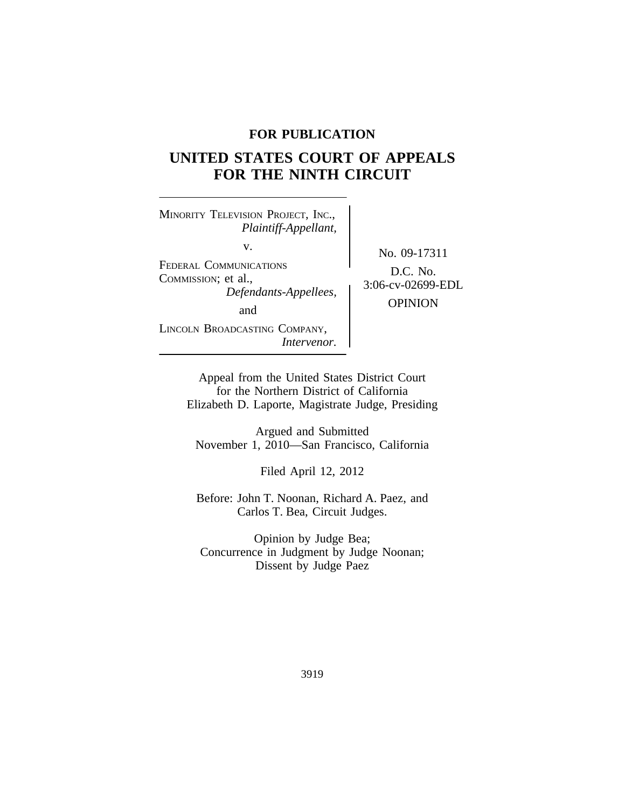## **FOR PUBLICATION**

# **UNITED STATES COURT OF APPEALS FOR THE NINTH CIRCUIT**

<sup>M</sup>INORITY TELEVISION PROJECT, INC., *Plaintiff-Appellant,* v.<br>
No. 09-17311<br>
FEDERAL COMMUNICATIONS FEDERAL COMMUNICATIONS<br>COMMISSION; et al.,<br>*Defendants-Appellees*, 3:06-cv-02699-EDL and the CPINION LINCOLN BROADCASTING COMPANY, *Intervenor.*

Appeal from the United States District Court for the Northern District of California Elizabeth D. Laporte, Magistrate Judge, Presiding

Argued and Submitted November 1, 2010—San Francisco, California

Filed April 12, 2012

Before: John T. Noonan, Richard A. Paez, and Carlos T. Bea, Circuit Judges.

Opinion by Judge Bea; Concurrence in Judgment by Judge Noonan; Dissent by Judge Paez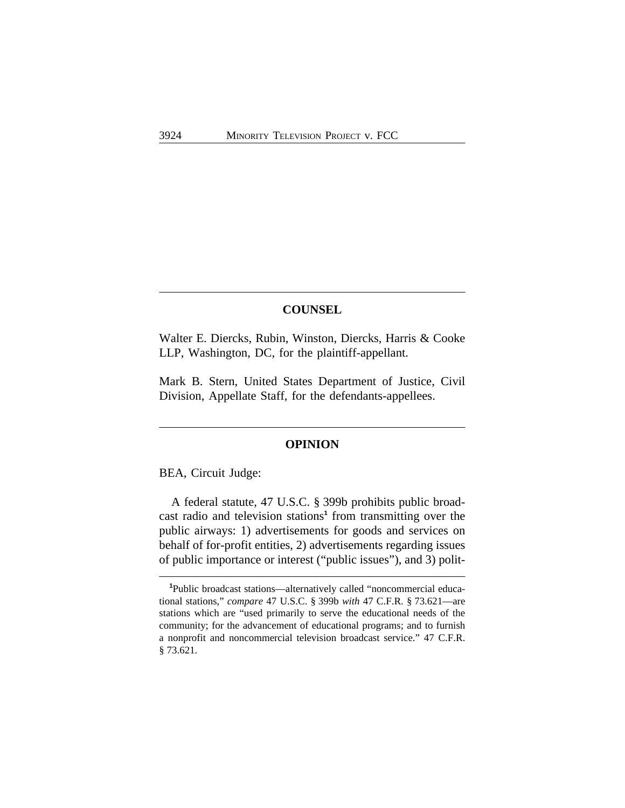### **COUNSEL**

Walter E. Diercks, Rubin, Winston, Diercks, Harris & Cooke LLP, Washington, DC, for the plaintiff-appellant.

Mark B. Stern, United States Department of Justice, Civil Division, Appellate Staff, for the defendants-appellees.

### **OPINION**

BEA, Circuit Judge:

A federal statute, 47 U.S.C. § 399b prohibits public broadcast radio and television stations**<sup>1</sup>** from transmitting over the public airways: 1) advertisements for goods and services on behalf of for-profit entities, 2) advertisements regarding issues of public importance or interest ("public issues"), and 3) polit-

**<sup>1</sup>**Public broadcast stations—alternatively called "noncommercial educational stations," *compare* 47 U.S.C. § 399b *with* 47 C.F.R. § 73.621—are stations which are "used primarily to serve the educational needs of the community; for the advancement of educational programs; and to furnish a nonprofit and noncommercial television broadcast service." 47 C.F.R. § 73.621.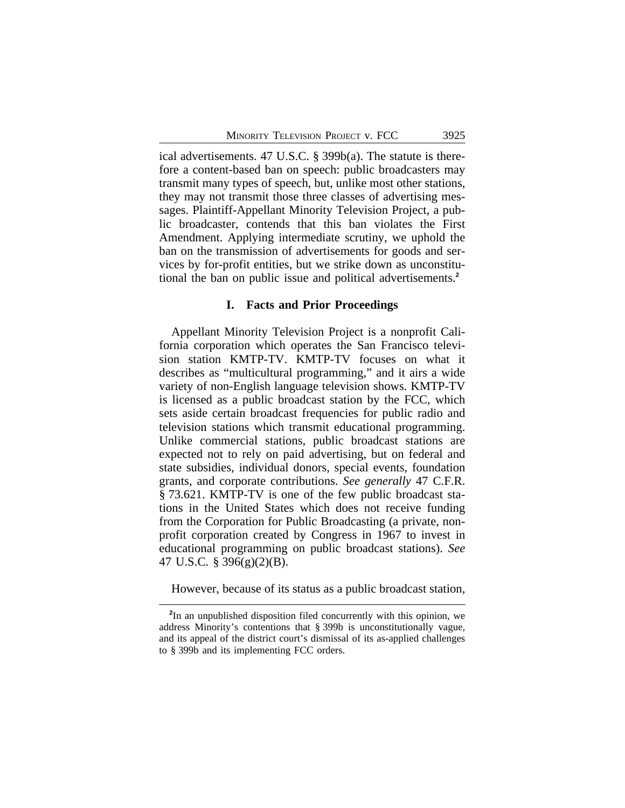ical advertisements. 47 U.S.C. § 399b(a). The statute is therefore a content-based ban on speech: public broadcasters may transmit many types of speech, but, unlike most other stations, they may not transmit those three classes of advertising messages. Plaintiff-Appellant Minority Television Project, a public broadcaster, contends that this ban violates the First Amendment. Applying intermediate scrutiny, we uphold the ban on the transmission of advertisements for goods and services by for-profit entities, but we strike down as unconstitutional the ban on public issue and political advertisements.**<sup>2</sup>**

#### **I. Facts and Prior Proceedings**

Appellant Minority Television Project is a nonprofit California corporation which operates the San Francisco television station KMTP-TV. KMTP-TV focuses on what it describes as "multicultural programming," and it airs a wide variety of non-English language television shows. KMTP-TV is licensed as a public broadcast station by the FCC, which sets aside certain broadcast frequencies for public radio and television stations which transmit educational programming. Unlike commercial stations, public broadcast stations are expected not to rely on paid advertising, but on federal and state subsidies, individual donors, special events, foundation grants, and corporate contributions. *See generally* 47 C.F.R. § 73.621. KMTP-TV is one of the few public broadcast stations in the United States which does not receive funding from the Corporation for Public Broadcasting (a private, nonprofit corporation created by Congress in 1967 to invest in educational programming on public broadcast stations). *See* 47 U.S.C. § 396(g)(2)(B).

However, because of its status as a public broadcast station,

**<sup>2</sup>** In an unpublished disposition filed concurrently with this opinion, we address Minority's contentions that § 399b is unconstitutionally vague, and its appeal of the district court's dismissal of its as-applied challenges to § 399b and its implementing FCC orders.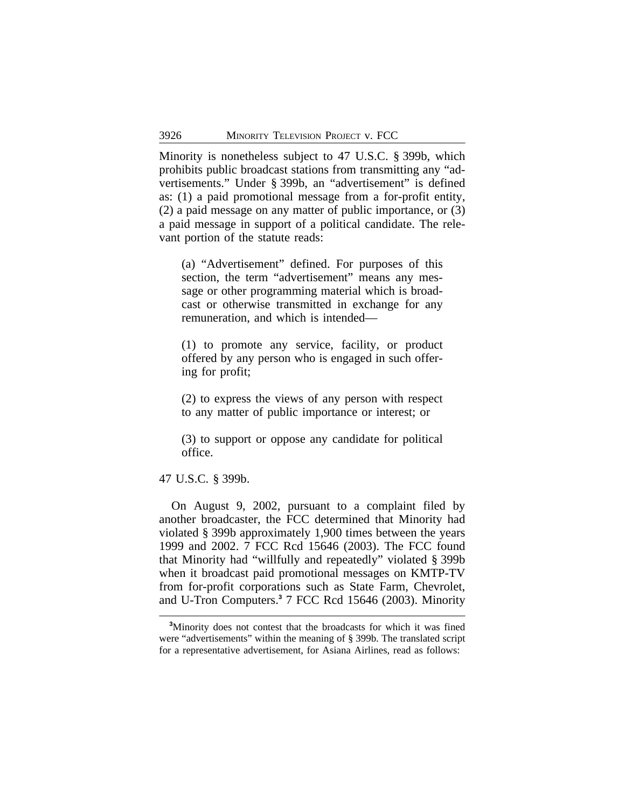Minority is nonetheless subject to 47 U.S.C. § 399b, which prohibits public broadcast stations from transmitting any "advertisements." Under § 399b, an "advertisement" is defined as: (1) a paid promotional message from a for-profit entity, (2) a paid message on any matter of public importance, or (3) a paid message in support of a political candidate. The relevant portion of the statute reads:

(a) "Advertisement" defined. For purposes of this section, the term "advertisement" means any message or other programming material which is broadcast or otherwise transmitted in exchange for any remuneration, and which is intended—

(1) to promote any service, facility, or product offered by any person who is engaged in such offering for profit;

(2) to express the views of any person with respect to any matter of public importance or interest; or

(3) to support or oppose any candidate for political office.

#### 47 U.S.C. § 399b.

On August 9, 2002, pursuant to a complaint filed by another broadcaster, the FCC determined that Minority had violated § 399b approximately 1,900 times between the years 1999 and 2002. 7 FCC Rcd 15646 (2003). The FCC found that Minority had "willfully and repeatedly" violated § 399b when it broadcast paid promotional messages on KMTP-TV from for-profit corporations such as State Farm, Chevrolet, and U-Tron Computers.**<sup>3</sup>** 7 FCC Rcd 15646 (2003). Minority

**<sup>3</sup>**Minority does not contest that the broadcasts for which it was fined were "advertisements" within the meaning of § 399b. The translated script for a representative advertisement, for Asiana Airlines, read as follows: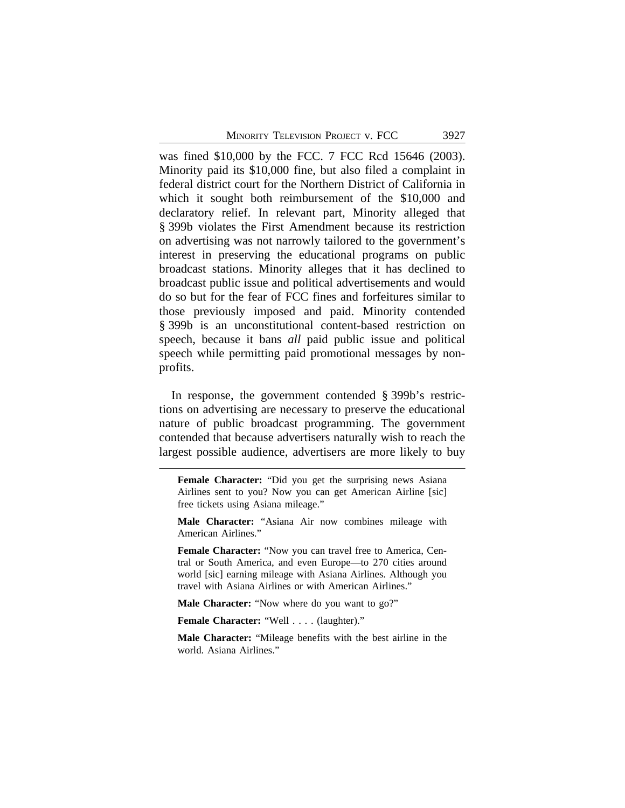was fined \$10,000 by the FCC. 7 FCC Rcd 15646 (2003). Minority paid its \$10,000 fine, but also filed a complaint in federal district court for the Northern District of California in which it sought both reimbursement of the \$10,000 and declaratory relief. In relevant part, Minority alleged that § 399b violates the First Amendment because its restriction on advertising was not narrowly tailored to the government's interest in preserving the educational programs on public broadcast stations. Minority alleges that it has declined to broadcast public issue and political advertisements and would do so but for the fear of FCC fines and forfeitures similar to those previously imposed and paid. Minority contended § 399b is an unconstitutional content-based restriction on speech, because it bans *all* paid public issue and political speech while permitting paid promotional messages by nonprofits.

In response, the government contended § 399b's restrictions on advertising are necessary to preserve the educational nature of public broadcast programming. The government contended that because advertisers naturally wish to reach the largest possible audience, advertisers are more likely to buy

**Male Character:** "Asiana Air now combines mileage with American Airlines."

**Female Character:** "Now you can travel free to America, Central or South America, and even Europe—to 270 cities around world [sic] earning mileage with Asiana Airlines. Although you travel with Asiana Airlines or with American Airlines."

Male Character: "Now where do you want to go?"

**Female Character:** "Well . . . . (laughter)."

**Male Character:** "Mileage benefits with the best airline in the world. Asiana Airlines."

**Female Character:** "Did you get the surprising news Asiana Airlines sent to you? Now you can get American Airline [sic] free tickets using Asiana mileage."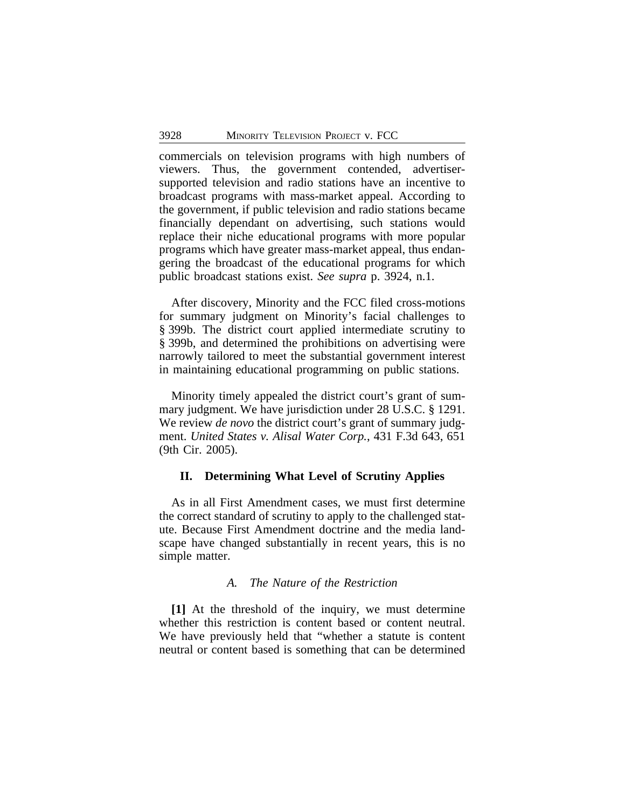commercials on television programs with high numbers of viewers. Thus, the government contended, advertisersupported television and radio stations have an incentive to broadcast programs with mass-market appeal. According to the government, if public television and radio stations became financially dependant on advertising, such stations would replace their niche educational programs with more popular programs which have greater mass-market appeal, thus endangering the broadcast of the educational programs for which public broadcast stations exist. *See supra* p. 3924, n.1.

After discovery, Minority and the FCC filed cross-motions for summary judgment on Minority's facial challenges to § 399b. The district court applied intermediate scrutiny to § 399b, and determined the prohibitions on advertising were narrowly tailored to meet the substantial government interest in maintaining educational programming on public stations.

Minority timely appealed the district court's grant of summary judgment. We have jurisdiction under 28 U.S.C. § 1291. We review *de novo* the district court's grant of summary judgment. *United States v. Alisal Water Corp.*, 431 F.3d 643, 651 (9th Cir. 2005).

### **II. Determining What Level of Scrutiny Applies**

As in all First Amendment cases, we must first determine the correct standard of scrutiny to apply to the challenged statute. Because First Amendment doctrine and the media landscape have changed substantially in recent years, this is no simple matter.

#### *A. The Nature of the Restriction*

**[1]** At the threshold of the inquiry, we must determine whether this restriction is content based or content neutral. We have previously held that "whether a statute is content neutral or content based is something that can be determined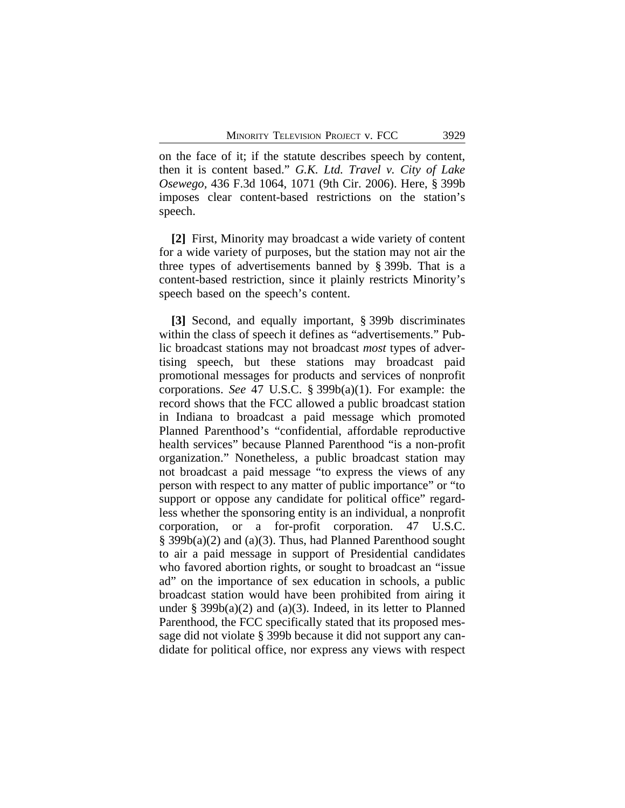on the face of it; if the statute describes speech by content, then it is content based." *G.K. Ltd. Travel v. City of Lake Osewego,* 436 F.3d 1064, 1071 (9th Cir. 2006). Here, § 399b imposes clear content-based restrictions on the station's speech.

**[2]** First, Minority may broadcast a wide variety of content for a wide variety of purposes, but the station may not air the three types of advertisements banned by § 399b. That is a content-based restriction, since it plainly restricts Minority's speech based on the speech's content.

**[3]** Second, and equally important, § 399b discriminates within the class of speech it defines as "advertisements." Public broadcast stations may not broadcast *most* types of advertising speech, but these stations may broadcast paid promotional messages for products and services of nonprofit corporations. *See* 47 U.S.C. § 399b(a)(1). For example: the record shows that the FCC allowed a public broadcast station in Indiana to broadcast a paid message which promoted Planned Parenthood's "confidential, affordable reproductive health services" because Planned Parenthood "is a non-profit organization." Nonetheless, a public broadcast station may not broadcast a paid message "to express the views of any person with respect to any matter of public importance" or "to support or oppose any candidate for political office" regardless whether the sponsoring entity is an individual, a nonprofit corporation, or a for-profit corporation. 47 U.S.C. § 399b(a)(2) and (a)(3). Thus, had Planned Parenthood sought to air a paid message in support of Presidential candidates who favored abortion rights, or sought to broadcast an "issue ad" on the importance of sex education in schools, a public broadcast station would have been prohibited from airing it under § 399b(a)(2) and (a)(3). Indeed, in its letter to Planned Parenthood, the FCC specifically stated that its proposed message did not violate § 399b because it did not support any candidate for political office, nor express any views with respect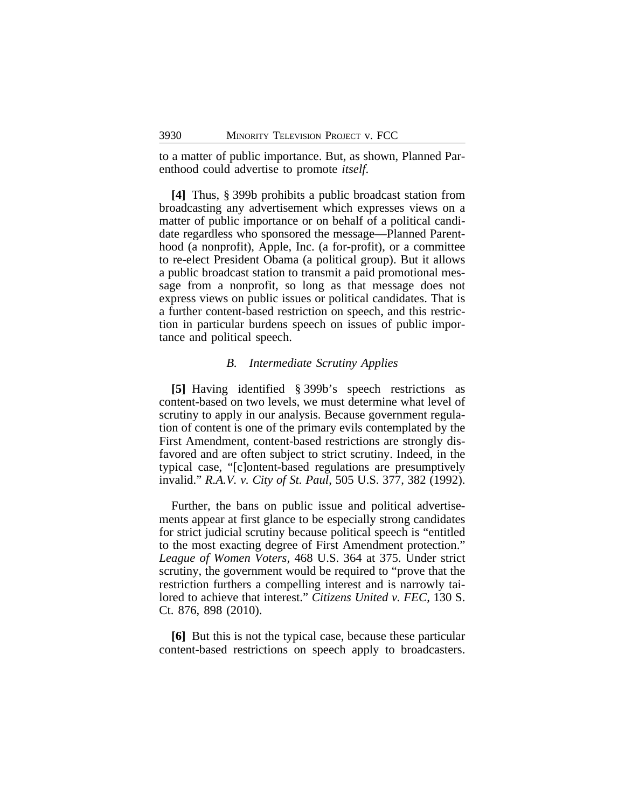to a matter of public importance. But, as shown, Planned Parenthood could advertise to promote *itself*.

**[4]** Thus, § 399b prohibits a public broadcast station from broadcasting any advertisement which expresses views on a matter of public importance or on behalf of a political candidate regardless who sponsored the message—Planned Parenthood (a nonprofit), Apple, Inc. (a for-profit), or a committee to re-elect President Obama (a political group). But it allows a public broadcast station to transmit a paid promotional message from a nonprofit, so long as that message does not express views on public issues or political candidates. That is a further content-based restriction on speech, and this restriction in particular burdens speech on issues of public importance and political speech.

#### *B. Intermediate Scrutiny Applies*

**[5]** Having identified § 399b's speech restrictions as content-based on two levels, we must determine what level of scrutiny to apply in our analysis. Because government regulation of content is one of the primary evils contemplated by the First Amendment, content-based restrictions are strongly disfavored and are often subject to strict scrutiny. Indeed, in the typical case, "[c]ontent-based regulations are presumptively invalid." *R.A.V. v. City of St. Paul*, 505 U.S. 377, 382 (1992).

Further, the bans on public issue and political advertisements appear at first glance to be especially strong candidates for strict judicial scrutiny because political speech is "entitled to the most exacting degree of First Amendment protection." *League of Women Voters,* 468 U.S. 364 at 375. Under strict scrutiny, the government would be required to "prove that the restriction furthers a compelling interest and is narrowly tailored to achieve that interest." *Citizens United v. FEC*, 130 S. Ct. 876, 898 (2010).

**[6]** But this is not the typical case, because these particular content-based restrictions on speech apply to broadcasters.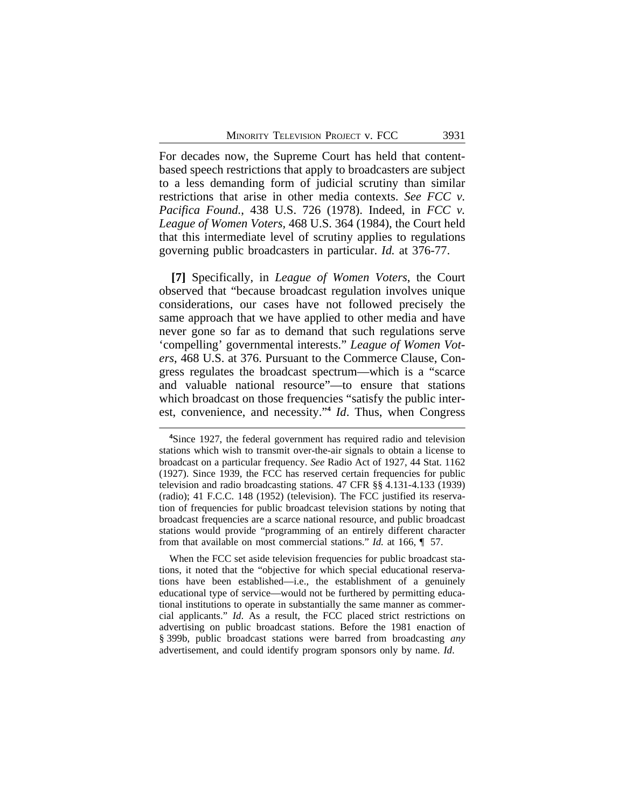For decades now, the Supreme Court has held that contentbased speech restrictions that apply to broadcasters are subject to a less demanding form of judicial scrutiny than similar restrictions that arise in other media contexts. *See FCC v. Pacifica Found.*, 438 U.S. 726 (1978). Indeed, in *FCC v. League of Women Voters,* 468 U.S. 364 (1984), the Court held that this intermediate level of scrutiny applies to regulations governing public broadcasters in particular. *Id.* at 376-77.

**[7]** Specifically, in *League of Women Voters*, the Court observed that "because broadcast regulation involves unique considerations, our cases have not followed precisely the same approach that we have applied to other media and have never gone so far as to demand that such regulations serve 'compelling' governmental interests." *League of Women Voters*, 468 U.S. at 376. Pursuant to the Commerce Clause, Congress regulates the broadcast spectrum—which is a "scarce and valuable national resource"—to ensure that stations which broadcast on those frequencies "satisfy the public interest, convenience, and necessity."<sup>4</sup> *Id*. Thus, when Congress

When the FCC set aside television frequencies for public broadcast stations, it noted that the "objective for which special educational reservations have been established—i.e., the establishment of a genuinely educational type of service—would not be furthered by permitting educational institutions to operate in substantially the same manner as commercial applicants." *Id*. As a result, the FCC placed strict restrictions on advertising on public broadcast stations. Before the 1981 enaction of § 399b, public broadcast stations were barred from broadcasting *any* advertisement, and could identify program sponsors only by name. *Id*.

**<sup>4</sup>**Since 1927, the federal government has required radio and television stations which wish to transmit over-the-air signals to obtain a license to broadcast on a particular frequency. *See* Radio Act of 1927, 44 Stat. 1162 (1927). Since 1939, the FCC has reserved certain frequencies for public television and radio broadcasting stations. 47 CFR §§ 4.131-4.133 (1939) (radio); 41 F.C.C. 148 (1952) (television). The FCC justified its reservation of frequencies for public broadcast television stations by noting that broadcast frequencies are a scarce national resource, and public broadcast stations would provide "programming of an entirely different character from that available on most commercial stations." *Id.* at 166, ¶ 57.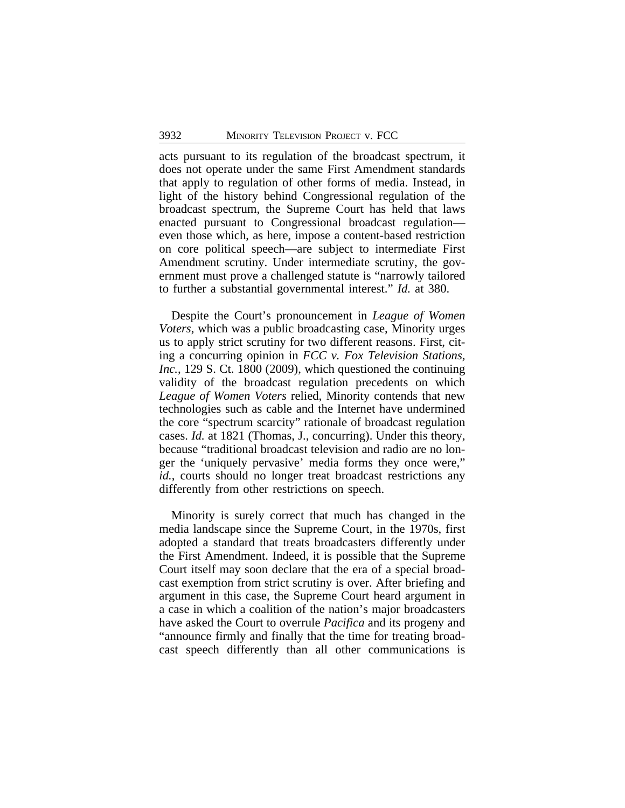acts pursuant to its regulation of the broadcast spectrum, it does not operate under the same First Amendment standards that apply to regulation of other forms of media. Instead, in light of the history behind Congressional regulation of the broadcast spectrum, the Supreme Court has held that laws enacted pursuant to Congressional broadcast regulation even those which, as here, impose a content-based restriction on core political speech—are subject to intermediate First Amendment scrutiny. Under intermediate scrutiny, the government must prove a challenged statute is "narrowly tailored to further a substantial governmental interest." *Id.* at 380.

Despite the Court's pronouncement in *League of Women Voters*, which was a public broadcasting case, Minority urges us to apply strict scrutiny for two different reasons. First, citing a concurring opinion in *FCC v. Fox Television Stations, Inc.*, 129 S. Ct. 1800 (2009), which questioned the continuing validity of the broadcast regulation precedents on which *League of Women Voters* relied, Minority contends that new technologies such as cable and the Internet have undermined the core "spectrum scarcity" rationale of broadcast regulation cases. *Id.* at 1821 (Thomas, J., concurring). Under this theory, because "traditional broadcast television and radio are no longer the 'uniquely pervasive' media forms they once were," *id.*, courts should no longer treat broadcast restrictions any differently from other restrictions on speech.

Minority is surely correct that much has changed in the media landscape since the Supreme Court, in the 1970s, first adopted a standard that treats broadcasters differently under the First Amendment. Indeed, it is possible that the Supreme Court itself may soon declare that the era of a special broadcast exemption from strict scrutiny is over. After briefing and argument in this case, the Supreme Court heard argument in a case in which a coalition of the nation's major broadcasters have asked the Court to overrule *Pacifica* and its progeny and "announce firmly and finally that the time for treating broadcast speech differently than all other communications is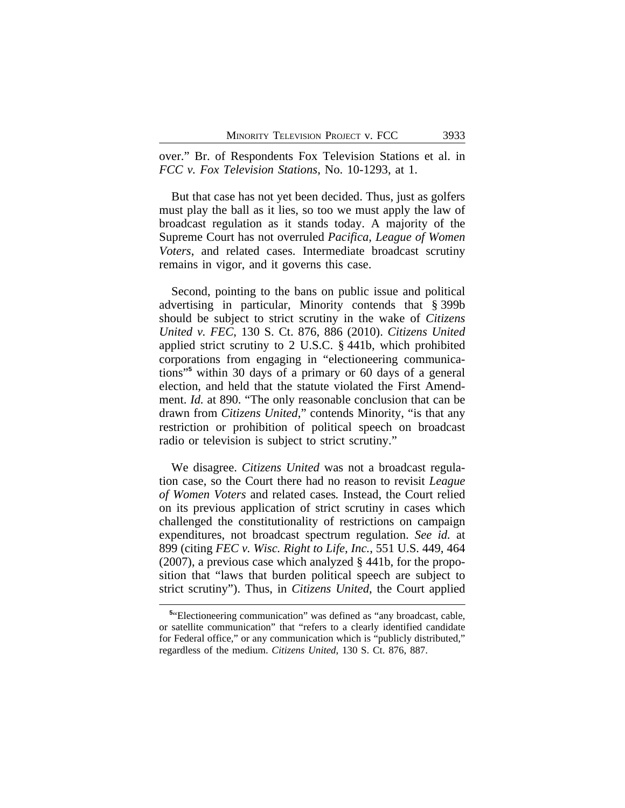over." Br. of Respondents Fox Television Stations et al. in *FCC v. Fox Television Stations*, No. 10-1293, at 1.

But that case has not yet been decided. Thus, just as golfers must play the ball as it lies, so too we must apply the law of broadcast regulation as it stands today. A majority of the Supreme Court has not overruled *Pacifica*, *League of Women Voters*, and related cases. Intermediate broadcast scrutiny remains in vigor, and it governs this case.

Second, pointing to the bans on public issue and political advertising in particular, Minority contends that § 399b should be subject to strict scrutiny in the wake of *Citizens United v. FEC*, 130 S. Ct. 876, 886 (2010). *Citizens United* applied strict scrutiny to 2 U.S.C. § 441b, which prohibited corporations from engaging in "electioneering communications"**<sup>5</sup>** within 30 days of a primary or 60 days of a general election, and held that the statute violated the First Amendment. *Id.* at 890. "The only reasonable conclusion that can be drawn from *Citizens United*," contends Minority, "is that any restriction or prohibition of political speech on broadcast radio or television is subject to strict scrutiny."

We disagree. *Citizens United* was not a broadcast regulation case, so the Court there had no reason to revisit *League of Women Voters* and related cases*.* Instead, the Court relied on its previous application of strict scrutiny in cases which challenged the constitutionality of restrictions on campaign expenditures, not broadcast spectrum regulation. *See id.* at 899 (citing *FEC v. Wisc. Right to Life, Inc.*, 551 U.S. 449, 464 (2007), a previous case which analyzed § 441b, for the proposition that "laws that burden political speech are subject to strict scrutiny"). Thus, in *Citizens United*, the Court applied

<sup>&</sup>lt;sup>5</sup>"Electioneering communication" was defined as "any broadcast, cable, or satellite communication" that "refers to a clearly identified candidate for Federal office," or any communication which is "publicly distributed," regardless of the medium. *Citizens United*, 130 S. Ct. 876, 887.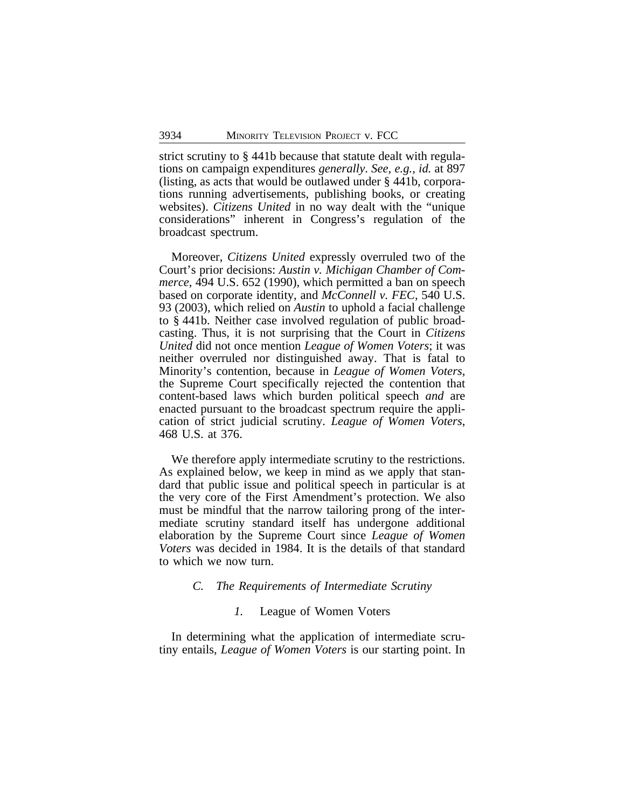strict scrutiny to § 441b because that statute dealt with regulations on campaign expenditures *generally*. *See, e.g., id.* at 897 (listing, as acts that would be outlawed under § 441b, corporations running advertisements, publishing books, or creating websites). *Citizens United* in no way dealt with the "unique considerations" inherent in Congress's regulation of the broadcast spectrum.

Moreover, *Citizens United* expressly overruled two of the Court's prior decisions: *Austin v. Michigan Chamber of Commerce*, 494 U.S. 652 (1990), which permitted a ban on speech based on corporate identity, and *McConnell v. FEC*, 540 U.S. 93 (2003), which relied on *Austin* to uphold a facial challenge to § 441b. Neither case involved regulation of public broadcasting. Thus, it is not surprising that the Court in *Citizens United* did not once mention *League of Women Voters*; it was neither overruled nor distinguished away. That is fatal to Minority's contention, because in *League of Women Voters*, the Supreme Court specifically rejected the contention that content-based laws which burden political speech *and* are enacted pursuant to the broadcast spectrum require the application of strict judicial scrutiny. *League of Women Voters*, 468 U.S. at 376.

We therefore apply intermediate scrutiny to the restrictions. As explained below, we keep in mind as we apply that standard that public issue and political speech in particular is at the very core of the First Amendment's protection. We also must be mindful that the narrow tailoring prong of the intermediate scrutiny standard itself has undergone additional elaboration by the Supreme Court since *League of Women Voters* was decided in 1984. It is the details of that standard to which we now turn.

#### *C. The Requirements of Intermediate Scrutiny*

#### *1.* League of Women Voters

In determining what the application of intermediate scrutiny entails, *League of Women Voters* is our starting point. In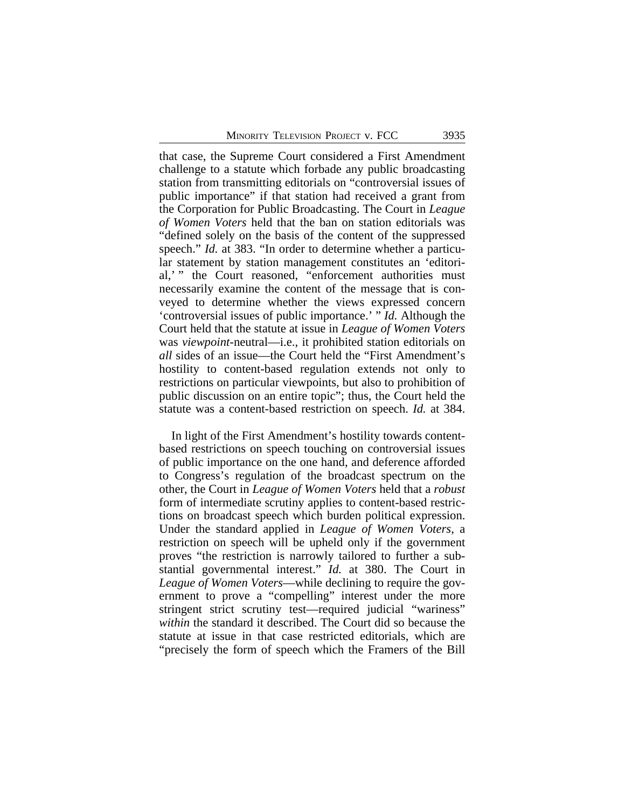that case, the Supreme Court considered a First Amendment challenge to a statute which forbade any public broadcasting station from transmitting editorials on "controversial issues of public importance" if that station had received a grant from the Corporation for Public Broadcasting. The Court in *League of Women Voters* held that the ban on station editorials was "defined solely on the basis of the content of the suppressed speech." *Id.* at 383. "In order to determine whether a particular statement by station management constitutes an 'editorial,' " the Court reasoned, "enforcement authorities must necessarily examine the content of the message that is conveyed to determine whether the views expressed concern 'controversial issues of public importance.' " *Id.* Although the Court held that the statute at issue in *League of Women Voters* was *viewpoint*-neutral—i.e., it prohibited station editorials on *all* sides of an issue—the Court held the "First Amendment's hostility to content-based regulation extends not only to restrictions on particular viewpoints, but also to prohibition of public discussion on an entire topic"; thus, the Court held the statute was a content-based restriction on speech. *Id.* at 384.

In light of the First Amendment's hostility towards contentbased restrictions on speech touching on controversial issues of public importance on the one hand, and deference afforded to Congress's regulation of the broadcast spectrum on the other, the Court in *League of Women Voters* held that a *robust* form of intermediate scrutiny applies to content-based restrictions on broadcast speech which burden political expression. Under the standard applied in *League of Women Voters*, a restriction on speech will be upheld only if the government proves "the restriction is narrowly tailored to further a substantial governmental interest." *Id.* at 380. The Court in *League of Women Voters*—while declining to require the government to prove a "compelling" interest under the more stringent strict scrutiny test—required judicial "wariness" *within* the standard it described. The Court did so because the statute at issue in that case restricted editorials, which are "precisely the form of speech which the Framers of the Bill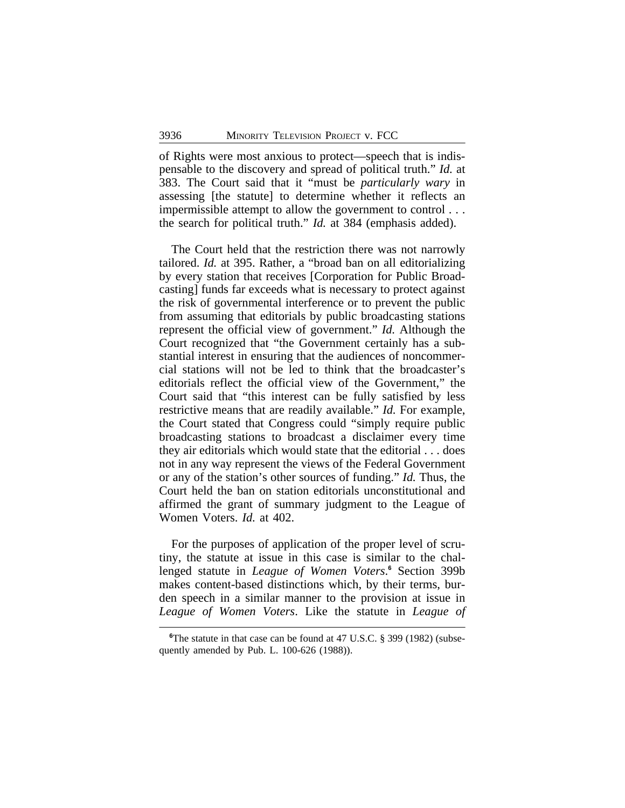of Rights were most anxious to protect—speech that is indispensable to the discovery and spread of political truth." *Id.* at 383. The Court said that it "must be *particularly wary* in assessing [the statute] to determine whether it reflects an impermissible attempt to allow the government to control . . . the search for political truth." *Id.* at 384 (emphasis added).

The Court held that the restriction there was not narrowly tailored. *Id.* at 395. Rather, a "broad ban on all editorializing by every station that receives [Corporation for Public Broadcasting] funds far exceeds what is necessary to protect against the risk of governmental interference or to prevent the public from assuming that editorials by public broadcasting stations represent the official view of government." *Id.* Although the Court recognized that "the Government certainly has a substantial interest in ensuring that the audiences of noncommercial stations will not be led to think that the broadcaster's editorials reflect the official view of the Government," the Court said that "this interest can be fully satisfied by less restrictive means that are readily available." *Id.* For example, the Court stated that Congress could "simply require public broadcasting stations to broadcast a disclaimer every time they air editorials which would state that the editorial . . . does not in any way represent the views of the Federal Government or any of the station's other sources of funding." *Id.* Thus, the Court held the ban on station editorials unconstitutional and affirmed the grant of summary judgment to the League of Women Voters. *Id.* at 402.

For the purposes of application of the proper level of scrutiny, the statute at issue in this case is similar to the challenged statute in *League of Women Voters*.<sup>6</sup> Section 399b makes content-based distinctions which, by their terms, burden speech in a similar manner to the provision at issue in *League of Women Voters*. Like the statute in *League of*

**<sup>6</sup>**The statute in that case can be found at 47 U.S.C. § 399 (1982) (subsequently amended by Pub. L. 100-626 (1988)).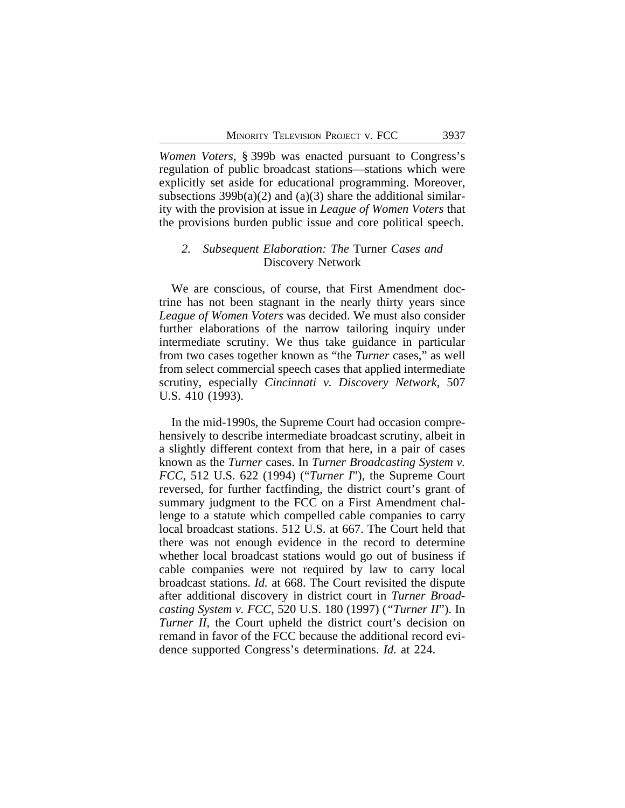*Women Voters*, § 399b was enacted pursuant to Congress's regulation of public broadcast stations—stations which were explicitly set aside for educational programming. Moreover, subsections  $399b(a)(2)$  and  $(a)(3)$  share the additional similarity with the provision at issue in *League of Women Voters* that the provisions burden public issue and core political speech.

### *2. Subsequent Elaboration: The* Turner *Cases and* Discovery Network

We are conscious, of course, that First Amendment doctrine has not been stagnant in the nearly thirty years since *League of Women Voters* was decided. We must also consider further elaborations of the narrow tailoring inquiry under intermediate scrutiny. We thus take guidance in particular from two cases together known as "the *Turner* cases," as well from select commercial speech cases that applied intermediate scrutiny, especially *Cincinnati v. Discovery Network*, 507 U.S. 410 (1993).

In the mid-1990s, the Supreme Court had occasion comprehensively to describe intermediate broadcast scrutiny, albeit in a slightly different context from that here, in a pair of cases known as the *Turner* cases. In *Turner Broadcasting System v. FCC*, 512 U.S. 622 (1994) ("*Turner I*"), the Supreme Court reversed, for further factfinding, the district court's grant of summary judgment to the FCC on a First Amendment challenge to a statute which compelled cable companies to carry local broadcast stations. 512 U.S. at 667. The Court held that there was not enough evidence in the record to determine whether local broadcast stations would go out of business if cable companies were not required by law to carry local broadcast stations. *Id.* at 668. The Court revisited the dispute after additional discovery in district court in *Turner Broadcasting System v. FCC*, 520 U.S. 180 (1997) (*"Turner II*"). In *Turner II*, the Court upheld the district court's decision on remand in favor of the FCC because the additional record evidence supported Congress's determinations. *Id.* at 224.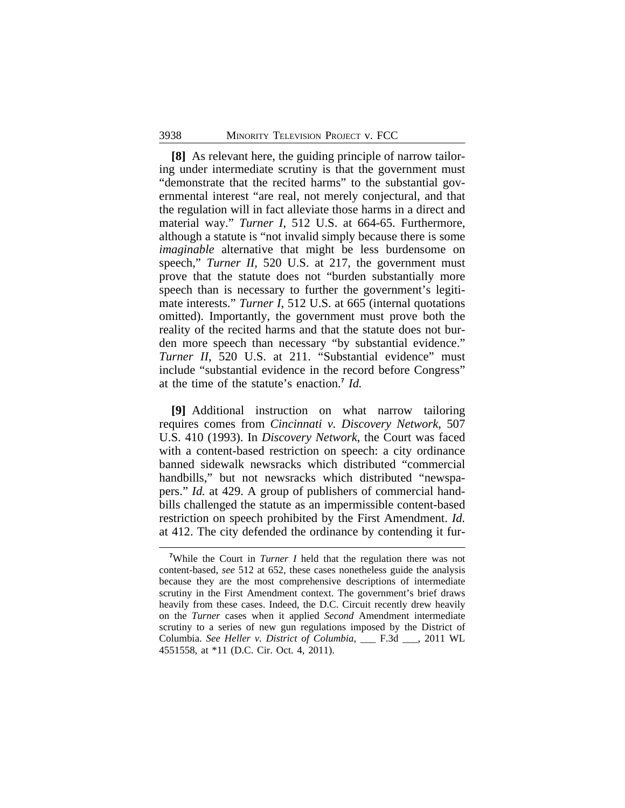**[8]** As relevant here, the guiding principle of narrow tailoring under intermediate scrutiny is that the government must "demonstrate that the recited harms" to the substantial governmental interest "are real, not merely conjectural, and that the regulation will in fact alleviate those harms in a direct and material way." *Turner I*, 512 U.S. at 664-65. Furthermore, although a statute is "not invalid simply because there is some *imaginable* alternative that might be less burdensome on speech," *Turner II*, 520 U.S. at 217, the government must prove that the statute does not "burden substantially more speech than is necessary to further the government's legitimate interests." *Turner I*, 512 U.S. at 665 (internal quotations omitted). Importantly, the government must prove both the reality of the recited harms and that the statute does not burden more speech than necessary "by substantial evidence." *Turner II*, 520 U.S. at 211. "Substantial evidence" must include "substantial evidence in the record before Congress" at the time of the statute's enaction.**<sup>7</sup>** *Id.*

**[9]** Additional instruction on what narrow tailoring requires comes from *Cincinnati v. Discovery Network*, 507 U.S. 410 (1993). In *Discovery Network*, the Court was faced with a content-based restriction on speech: a city ordinance banned sidewalk newsracks which distributed "commercial handbills," but not newsracks which distributed "newspapers." *Id.* at 429. A group of publishers of commercial handbills challenged the statute as an impermissible content-based restriction on speech prohibited by the First Amendment. *Id.* at 412. The city defended the ordinance by contending it fur-

**<sup>7</sup>**While the Court in *Turner I* held that the regulation there was not content-based, *see* 512 at 652, these cases nonetheless guide the analysis because they are the most comprehensive descriptions of intermediate scrutiny in the First Amendment context. The government's brief draws heavily from these cases. Indeed, the D.C. Circuit recently drew heavily on the *Turner* cases when it applied *Second* Amendment intermediate scrutiny to a series of new gun regulations imposed by the District of Columbia. *See Heller v. District of Columbia*, \_\_\_ F.3d \_\_\_, 2011 WL 4551558, at \*11 (D.C. Cir. Oct. 4, 2011).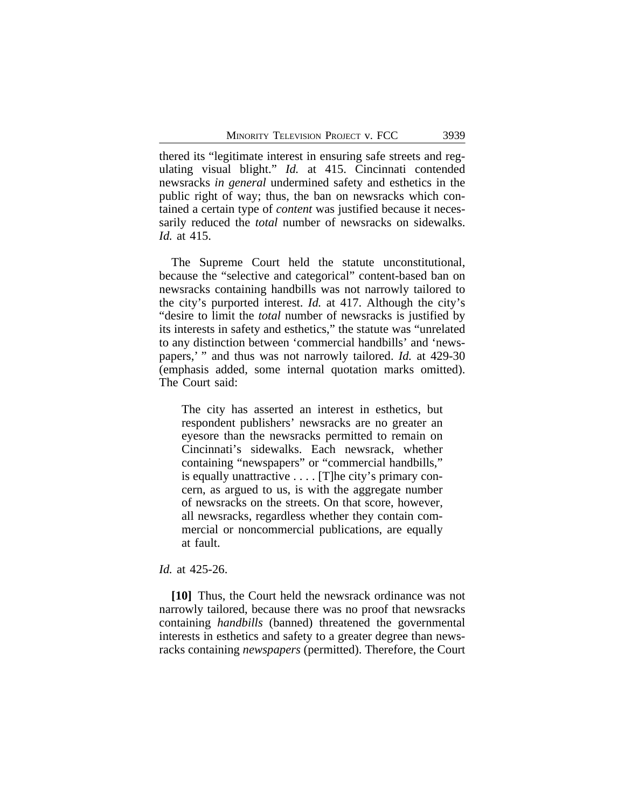thered its "legitimate interest in ensuring safe streets and regulating visual blight." *Id.* at 415. Cincinnati contended newsracks *in general* undermined safety and esthetics in the public right of way; thus, the ban on newsracks which contained a certain type of *content* was justified because it necessarily reduced the *total* number of newsracks on sidewalks. *Id.* at 415.

The Supreme Court held the statute unconstitutional, because the "selective and categorical" content-based ban on newsracks containing handbills was not narrowly tailored to the city's purported interest. *Id.* at 417. Although the city's "desire to limit the *total* number of newsracks is justified by its interests in safety and esthetics," the statute was "unrelated to any distinction between 'commercial handbills' and 'newspapers,' " and thus was not narrowly tailored. *Id.* at 429-30 (emphasis added, some internal quotation marks omitted). The Court said:

The city has asserted an interest in esthetics, but respondent publishers' newsracks are no greater an eyesore than the newsracks permitted to remain on Cincinnati's sidewalks. Each newsrack, whether containing "newspapers" or "commercial handbills," is equally unattractive . . . . [T]he city's primary concern, as argued to us, is with the aggregate number of newsracks on the streets. On that score, however, all newsracks, regardless whether they contain commercial or noncommercial publications, are equally at fault.

### *Id.* at 425-26.

**[10]** Thus, the Court held the newsrack ordinance was not narrowly tailored, because there was no proof that newsracks containing *handbills* (banned) threatened the governmental interests in esthetics and safety to a greater degree than newsracks containing *newspapers* (permitted). Therefore, the Court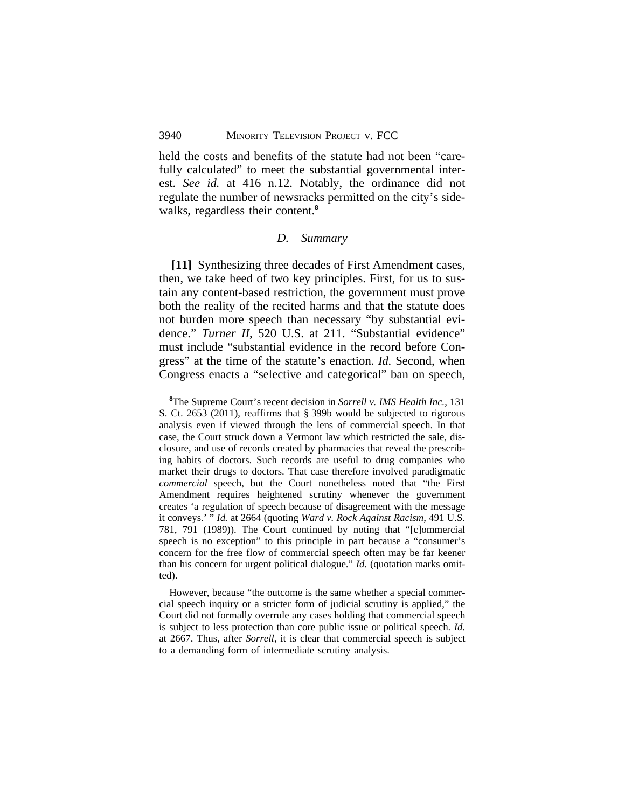held the costs and benefits of the statute had not been "carefully calculated" to meet the substantial governmental interest. *See id.* at 416 n.12. Notably, the ordinance did not regulate the number of newsracks permitted on the city's sidewalks, regardless their content.**<sup>8</sup>**

#### *D. Summary*

**[11]** Synthesizing three decades of First Amendment cases, then, we take heed of two key principles. First, for us to sustain any content-based restriction, the government must prove both the reality of the recited harms and that the statute does not burden more speech than necessary "by substantial evidence." *Turner II*, 520 U.S. at 211. "Substantial evidence" must include "substantial evidence in the record before Congress" at the time of the statute's enaction. *Id.* Second, when Congress enacts a "selective and categorical" ban on speech,

However, because "the outcome is the same whether a special commercial speech inquiry or a stricter form of judicial scrutiny is applied," the Court did not formally overrule any cases holding that commercial speech is subject to less protection than core public issue or political speech. *Id.* at 2667. Thus, after *Sorrell*, it is clear that commercial speech is subject to a demanding form of intermediate scrutiny analysis.

**<sup>8</sup>**The Supreme Court's recent decision in *Sorrell v. IMS Health Inc.*, 131 S. Ct. 2653 (2011), reaffirms that § 399b would be subjected to rigorous analysis even if viewed through the lens of commercial speech. In that case, the Court struck down a Vermont law which restricted the sale, disclosure, and use of records created by pharmacies that reveal the prescribing habits of doctors. Such records are useful to drug companies who market their drugs to doctors. That case therefore involved paradigmatic *commercial* speech, but the Court nonetheless noted that "the First Amendment requires heightened scrutiny whenever the government creates 'a regulation of speech because of disagreement with the message it conveys.' " *Id.* at 2664 (quoting *Ward v. Rock Against Racism*, 491 U.S. 781, 791 (1989)). The Court continued by noting that "[c]ommercial speech is no exception" to this principle in part because a "consumer's concern for the free flow of commercial speech often may be far keener than his concern for urgent political dialogue." *Id.* (quotation marks omitted).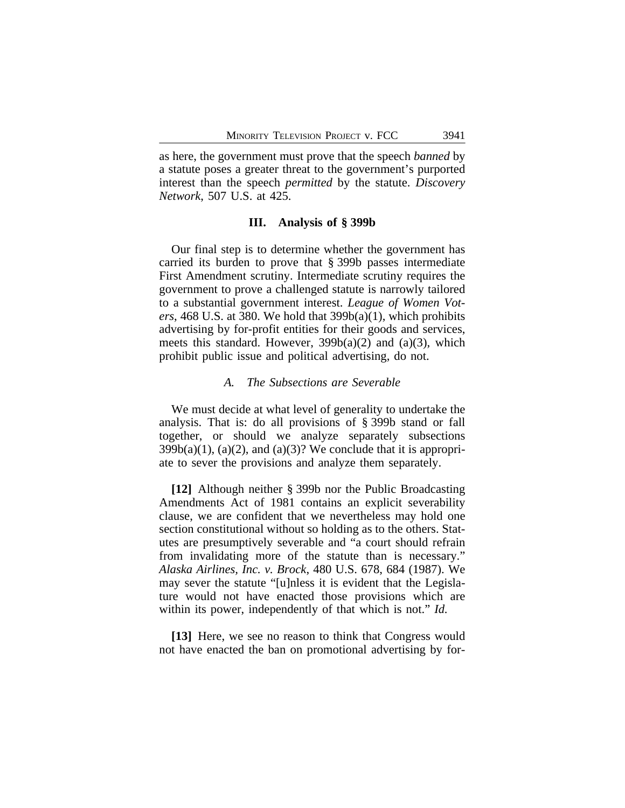as here, the government must prove that the speech *banned* by a statute poses a greater threat to the government's purported interest than the speech *permitted* by the statute. *Discovery Network*, 507 U.S. at 425.

#### **III. Analysis of § 399b**

Our final step is to determine whether the government has carried its burden to prove that § 399b passes intermediate First Amendment scrutiny. Intermediate scrutiny requires the government to prove a challenged statute is narrowly tailored to a substantial government interest. *League of Women Voters*, 468 U.S. at 380. We hold that 399b(a)(1), which prohibits advertising by for-profit entities for their goods and services, meets this standard. However,  $399b(a)(2)$  and  $(a)(3)$ , which prohibit public issue and political advertising, do not.

#### *A. The Subsections are Severable*

We must decide at what level of generality to undertake the analysis. That is: do all provisions of § 399b stand or fall together, or should we analyze separately subsections  $399b(a)(1)$ ,  $(a)(2)$ , and  $(a)(3)$ ? We conclude that it is appropriate to sever the provisions and analyze them separately.

**[12]** Although neither § 399b nor the Public Broadcasting Amendments Act of 1981 contains an explicit severability clause, we are confident that we nevertheless may hold one section constitutional without so holding as to the others. Statutes are presumptively severable and "a court should refrain from invalidating more of the statute than is necessary." *Alaska Airlines, Inc. v. Brock*, 480 U.S. 678, 684 (1987). We may sever the statute "[u]nless it is evident that the Legislature would not have enacted those provisions which are within its power, independently of that which is not." *Id.* 

**[13]** Here, we see no reason to think that Congress would not have enacted the ban on promotional advertising by for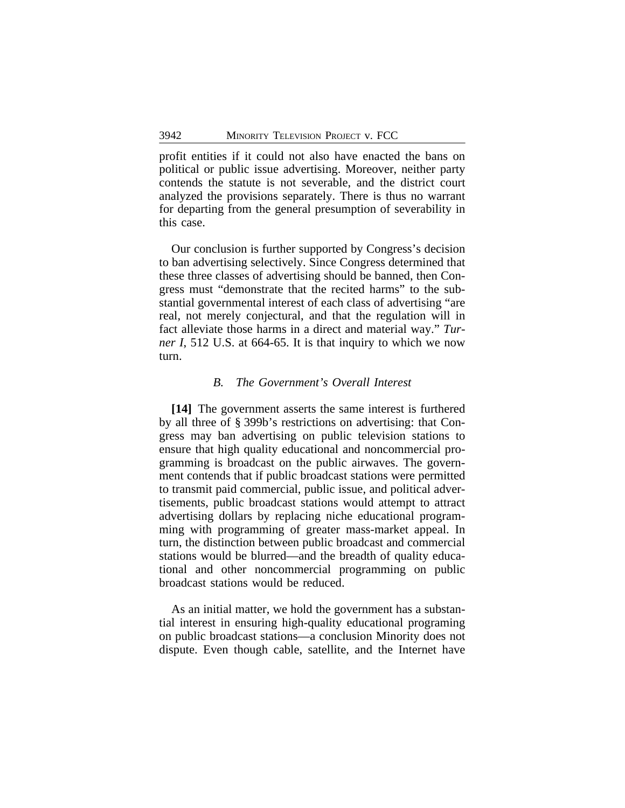profit entities if it could not also have enacted the bans on political or public issue advertising. Moreover, neither party contends the statute is not severable, and the district court analyzed the provisions separately. There is thus no warrant for departing from the general presumption of severability in this case.

Our conclusion is further supported by Congress's decision to ban advertising selectively. Since Congress determined that these three classes of advertising should be banned, then Congress must "demonstrate that the recited harms" to the substantial governmental interest of each class of advertising "are real, not merely conjectural, and that the regulation will in fact alleviate those harms in a direct and material way." *Turner I*, 512 U.S. at 664-65. It is that inquiry to which we now turn.

#### *B. The Government's Overall Interest*

**[14]** The government asserts the same interest is furthered by all three of § 399b's restrictions on advertising: that Congress may ban advertising on public television stations to ensure that high quality educational and noncommercial programming is broadcast on the public airwaves. The government contends that if public broadcast stations were permitted to transmit paid commercial, public issue, and political advertisements, public broadcast stations would attempt to attract advertising dollars by replacing niche educational programming with programming of greater mass-market appeal. In turn, the distinction between public broadcast and commercial stations would be blurred—and the breadth of quality educational and other noncommercial programming on public broadcast stations would be reduced.

As an initial matter, we hold the government has a substantial interest in ensuring high-quality educational programing on public broadcast stations—a conclusion Minority does not dispute. Even though cable, satellite, and the Internet have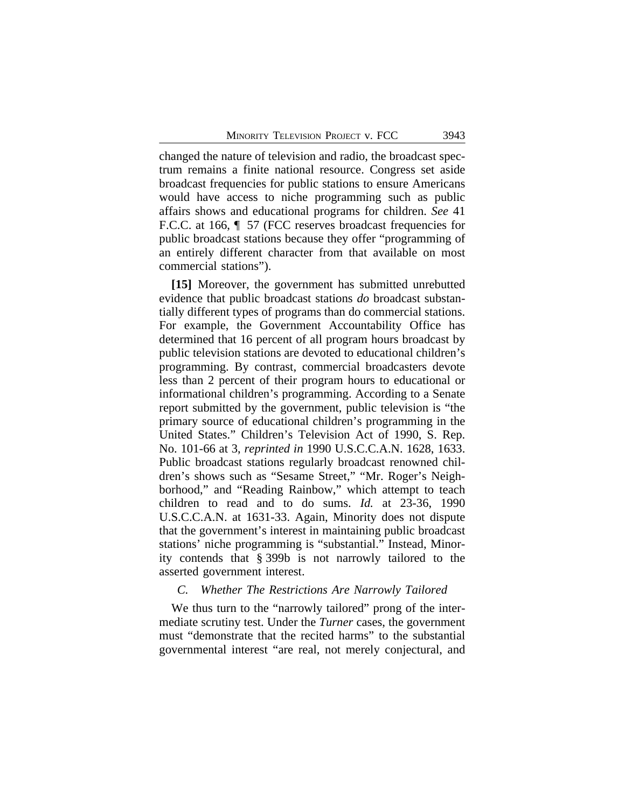changed the nature of television and radio, the broadcast spectrum remains a finite national resource. Congress set aside broadcast frequencies for public stations to ensure Americans would have access to niche programming such as public affairs shows and educational programs for children. *See* 41 F.C.C. at 166,  $\parallel$  57 (FCC reserves broadcast frequencies for public broadcast stations because they offer "programming of an entirely different character from that available on most commercial stations").

**[15]** Moreover, the government has submitted unrebutted evidence that public broadcast stations *do* broadcast substantially different types of programs than do commercial stations. For example, the Government Accountability Office has determined that 16 percent of all program hours broadcast by public television stations are devoted to educational children's programming. By contrast, commercial broadcasters devote less than 2 percent of their program hours to educational or informational children's programming. According to a Senate report submitted by the government, public television is "the primary source of educational children's programming in the United States." Children's Television Act of 1990, S. Rep. No. 101-66 at 3, *reprinted in* 1990 U.S.C.C.A.N. 1628, 1633. Public broadcast stations regularly broadcast renowned children's shows such as "Sesame Street," "Mr. Roger's Neighborhood," and "Reading Rainbow," which attempt to teach children to read and to do sums. *Id.* at 23-36, 1990 U.S.C.C.A.N. at 1631-33. Again, Minority does not dispute that the government's interest in maintaining public broadcast stations' niche programming is "substantial." Instead, Minority contends that § 399b is not narrowly tailored to the asserted government interest.

#### *C. Whether The Restrictions Are Narrowly Tailored*

We thus turn to the "narrowly tailored" prong of the intermediate scrutiny test. Under the *Turner* cases, the government must "demonstrate that the recited harms" to the substantial governmental interest "are real, not merely conjectural, and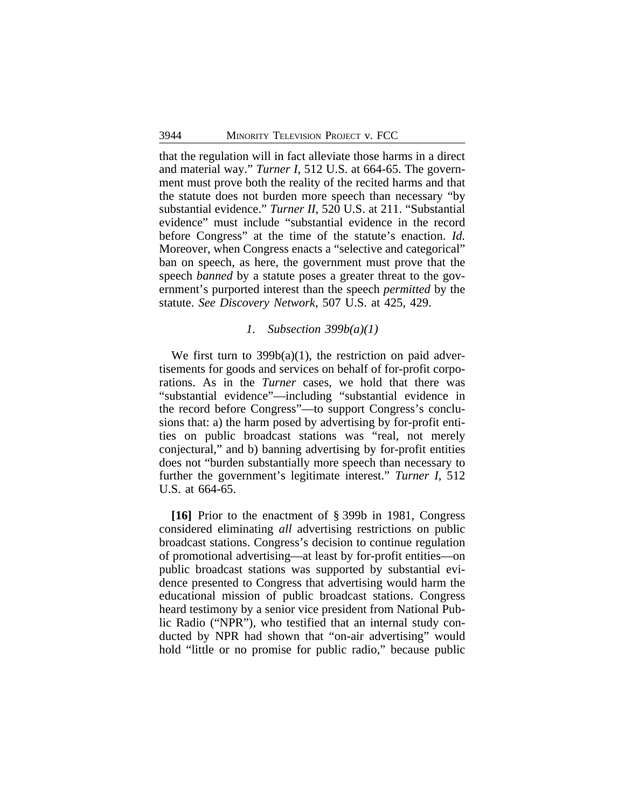that the regulation will in fact alleviate those harms in a direct and material way." *Turner I*, 512 U.S. at 664-65. The government must prove both the reality of the recited harms and that the statute does not burden more speech than necessary "by substantial evidence." *Turner II*, 520 U.S. at 211. "Substantial evidence" must include "substantial evidence in the record before Congress" at the time of the statute's enaction. *Id.* Moreover, when Congress enacts a "selective and categorical" ban on speech, as here, the government must prove that the speech *banned* by a statute poses a greater threat to the government's purported interest than the speech *permitted* by the statute. *See Discovery Network*, 507 U.S. at 425, 429.

#### *1. Subsection 399b(a)(1)*

We first turn to  $399b(a)(1)$ , the restriction on paid advertisements for goods and services on behalf of for-profit corporations. As in the *Turner* cases, we hold that there was "substantial evidence"—including "substantial evidence in the record before Congress"—to support Congress's conclusions that: a) the harm posed by advertising by for-profit entities on public broadcast stations was "real, not merely conjectural," and b) banning advertising by for-profit entities does not "burden substantially more speech than necessary to further the government's legitimate interest." *Turner I*, 512 U.S. at 664-65.

**[16]** Prior to the enactment of § 399b in 1981, Congress considered eliminating *all* advertising restrictions on public broadcast stations. Congress's decision to continue regulation of promotional advertising—at least by for-profit entities—on public broadcast stations was supported by substantial evidence presented to Congress that advertising would harm the educational mission of public broadcast stations. Congress heard testimony by a senior vice president from National Public Radio ("NPR"), who testified that an internal study conducted by NPR had shown that "on-air advertising" would hold "little or no promise for public radio," because public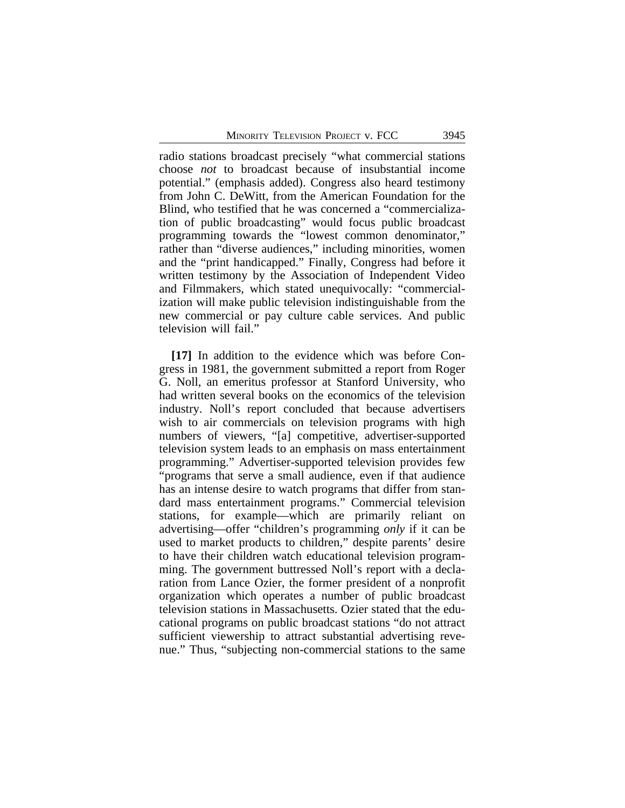radio stations broadcast precisely "what commercial stations choose *not* to broadcast because of insubstantial income potential." (emphasis added). Congress also heard testimony from John C. DeWitt, from the American Foundation for the Blind, who testified that he was concerned a "commercialization of public broadcasting" would focus public broadcast programming towards the "lowest common denominator," rather than "diverse audiences," including minorities, women and the "print handicapped." Finally, Congress had before it written testimony by the Association of Independent Video and Filmmakers, which stated unequivocally: "commercialization will make public television indistinguishable from the new commercial or pay culture cable services. And public television will fail."

**[17]** In addition to the evidence which was before Congress in 1981, the government submitted a report from Roger G. Noll, an emeritus professor at Stanford University, who had written several books on the economics of the television industry. Noll's report concluded that because advertisers wish to air commercials on television programs with high numbers of viewers, "[a] competitive, advertiser-supported television system leads to an emphasis on mass entertainment programming." Advertiser-supported television provides few "programs that serve a small audience, even if that audience has an intense desire to watch programs that differ from standard mass entertainment programs." Commercial television stations, for example—which are primarily reliant on advertising—offer "children's programming *only* if it can be used to market products to children," despite parents' desire to have their children watch educational television programming. The government buttressed Noll's report with a declaration from Lance Ozier, the former president of a nonprofit organization which operates a number of public broadcast television stations in Massachusetts. Ozier stated that the educational programs on public broadcast stations "do not attract sufficient viewership to attract substantial advertising revenue." Thus, "subjecting non-commercial stations to the same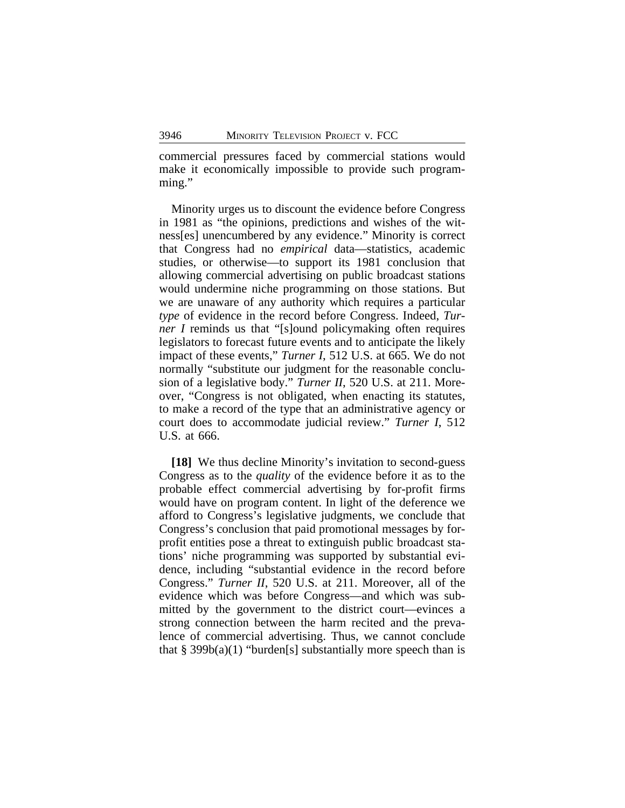commercial pressures faced by commercial stations would make it economically impossible to provide such programming."

Minority urges us to discount the evidence before Congress in 1981 as "the opinions, predictions and wishes of the witness[es] unencumbered by any evidence." Minority is correct that Congress had no *empirical* data—statistics, academic studies, or otherwise—to support its 1981 conclusion that allowing commercial advertising on public broadcast stations would undermine niche programming on those stations. But we are unaware of any authority which requires a particular *type* of evidence in the record before Congress. Indeed, *Turner I* reminds us that "[s]ound policymaking often requires legislators to forecast future events and to anticipate the likely impact of these events," *Turner I*, 512 U.S. at 665. We do not normally "substitute our judgment for the reasonable conclusion of a legislative body." *Turner II*, 520 U.S. at 211. Moreover, "Congress is not obligated, when enacting its statutes, to make a record of the type that an administrative agency or court does to accommodate judicial review." *Turner I*, 512 U.S. at 666.

**[18]** We thus decline Minority's invitation to second-guess Congress as to the *quality* of the evidence before it as to the probable effect commercial advertising by for-profit firms would have on program content. In light of the deference we afford to Congress's legislative judgments, we conclude that Congress's conclusion that paid promotional messages by forprofit entities pose a threat to extinguish public broadcast stations' niche programming was supported by substantial evidence, including "substantial evidence in the record before Congress." *Turner II*, 520 U.S. at 211. Moreover, all of the evidence which was before Congress—and which was submitted by the government to the district court—evinces a strong connection between the harm recited and the prevalence of commercial advertising. Thus, we cannot conclude that  $\S 399b(a)(1)$  "burden[s] substantially more speech than is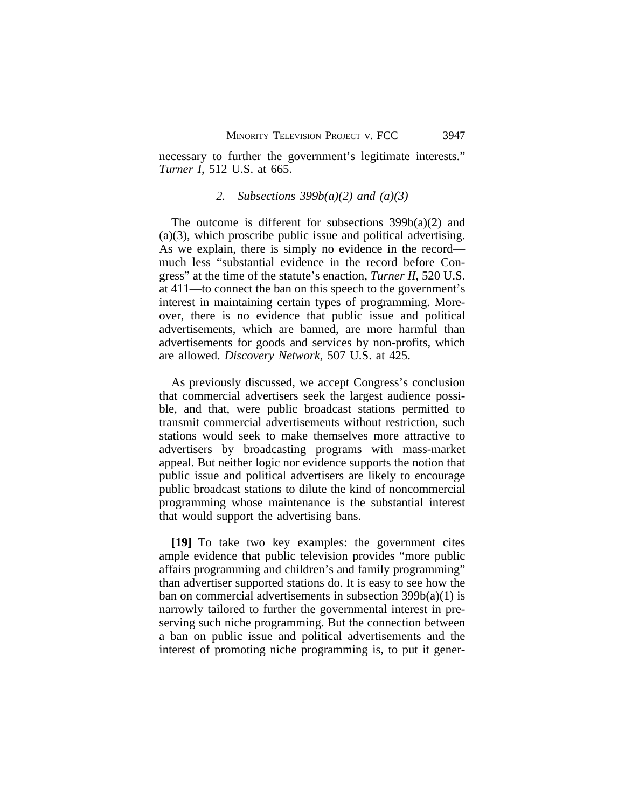necessary to further the government's legitimate interests." *Turner I*, 512 U.S. at 665.

### *2. Subsections 399b(a)(2) and (a)(3)*

The outcome is different for subsections 399b(a)(2) and (a)(3), which proscribe public issue and political advertising. As we explain, there is simply no evidence in the record much less "substantial evidence in the record before Congress" at the time of the statute's enaction, *Turner II*, 520 U.S. at 411—to connect the ban on this speech to the government's interest in maintaining certain types of programming. Moreover, there is no evidence that public issue and political advertisements, which are banned, are more harmful than advertisements for goods and services by non-profits, which are allowed. *Discovery Network*, 507 U.S. at 425.

As previously discussed, we accept Congress's conclusion that commercial advertisers seek the largest audience possible, and that, were public broadcast stations permitted to transmit commercial advertisements without restriction, such stations would seek to make themselves more attractive to advertisers by broadcasting programs with mass-market appeal. But neither logic nor evidence supports the notion that public issue and political advertisers are likely to encourage public broadcast stations to dilute the kind of noncommercial programming whose maintenance is the substantial interest that would support the advertising bans.

**[19]** To take two key examples: the government cites ample evidence that public television provides "more public affairs programming and children's and family programming" than advertiser supported stations do. It is easy to see how the ban on commercial advertisements in subsection 399b(a)(1) is narrowly tailored to further the governmental interest in preserving such niche programming. But the connection between a ban on public issue and political advertisements and the interest of promoting niche programming is, to put it gener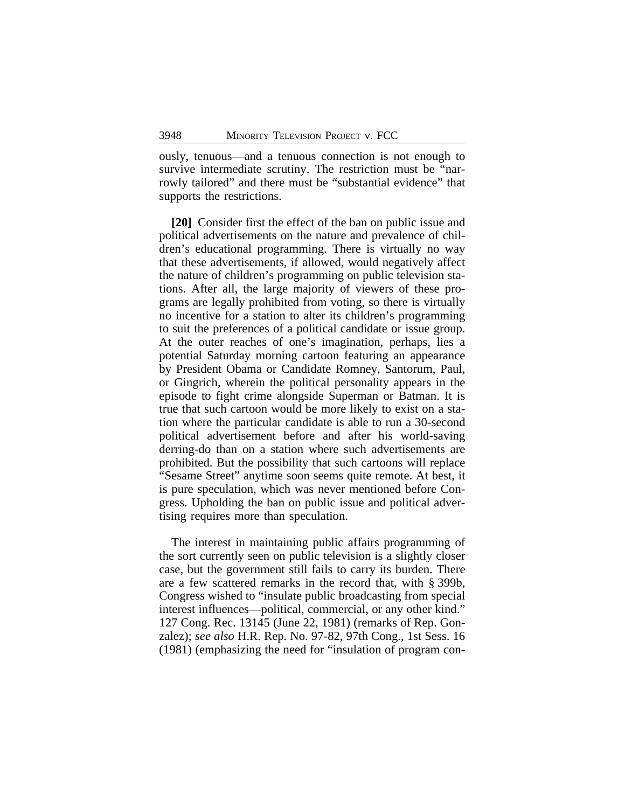ously, tenuous—and a tenuous connection is not enough to survive intermediate scrutiny. The restriction must be "narrowly tailored" and there must be "substantial evidence" that supports the restrictions.

**[20]** Consider first the effect of the ban on public issue and political advertisements on the nature and prevalence of children's educational programming. There is virtually no way that these advertisements, if allowed, would negatively affect the nature of children's programming on public television stations. After all, the large majority of viewers of these programs are legally prohibited from voting, so there is virtually no incentive for a station to alter its children's programming to suit the preferences of a political candidate or issue group. At the outer reaches of one's imagination, perhaps, lies a potential Saturday morning cartoon featuring an appearance by President Obama or Candidate Romney, Santorum, Paul, or Gingrich, wherein the political personality appears in the episode to fight crime alongside Superman or Batman. It is true that such cartoon would be more likely to exist on a station where the particular candidate is able to run a 30-second political advertisement before and after his world-saving derring-do than on a station where such advertisements are prohibited. But the possibility that such cartoons will replace "Sesame Street" anytime soon seems quite remote. At best, it is pure speculation, which was never mentioned before Congress. Upholding the ban on public issue and political advertising requires more than speculation.

The interest in maintaining public affairs programming of the sort currently seen on public television is a slightly closer case, but the government still fails to carry its burden. There are a few scattered remarks in the record that, with § 399b, Congress wished to "insulate public broadcasting from special interest influences—political, commercial, or any other kind." 127 Cong. Rec. 13145 (June 22, 1981) (remarks of Rep. Gonzalez); *see also* H.R. Rep. No. 97-82, 97th Cong., 1st Sess. 16 (1981) (emphasizing the need for "insulation of program con-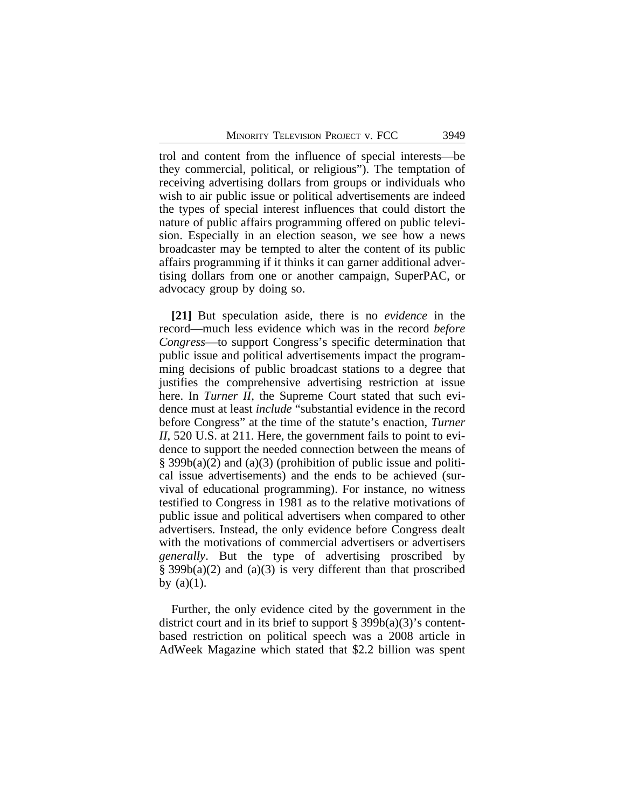trol and content from the influence of special interests—be they commercial, political, or religious"). The temptation of receiving advertising dollars from groups or individuals who wish to air public issue or political advertisements are indeed the types of special interest influences that could distort the nature of public affairs programming offered on public television. Especially in an election season, we see how a news broadcaster may be tempted to alter the content of its public affairs programming if it thinks it can garner additional advertising dollars from one or another campaign, SuperPAC, or advocacy group by doing so.

**[21]** But speculation aside, there is no *evidence* in the record—much less evidence which was in the record *before Congress*—to support Congress's specific determination that public issue and political advertisements impact the programming decisions of public broadcast stations to a degree that justifies the comprehensive advertising restriction at issue here. In *Turner II*, the Supreme Court stated that such evidence must at least *include* "substantial evidence in the record before Congress" at the time of the statute's enaction, *Turner II*, 520 U.S. at 211. Here, the government fails to point to evidence to support the needed connection between the means of  $\S$  399b(a)(2) and (a)(3) (prohibition of public issue and political issue advertisements) and the ends to be achieved (survival of educational programming). For instance, no witness testified to Congress in 1981 as to the relative motivations of public issue and political advertisers when compared to other advertisers. Instead, the only evidence before Congress dealt with the motivations of commercial advertisers or advertisers *generally*. But the type of advertising proscribed by  $\S$  399b(a)(2) and (a)(3) is very different than that proscribed by  $(a)(1)$ .

Further, the only evidence cited by the government in the district court and in its brief to support § 399 $b(a)(3)$ 's contentbased restriction on political speech was a 2008 article in AdWeek Magazine which stated that \$2.2 billion was spent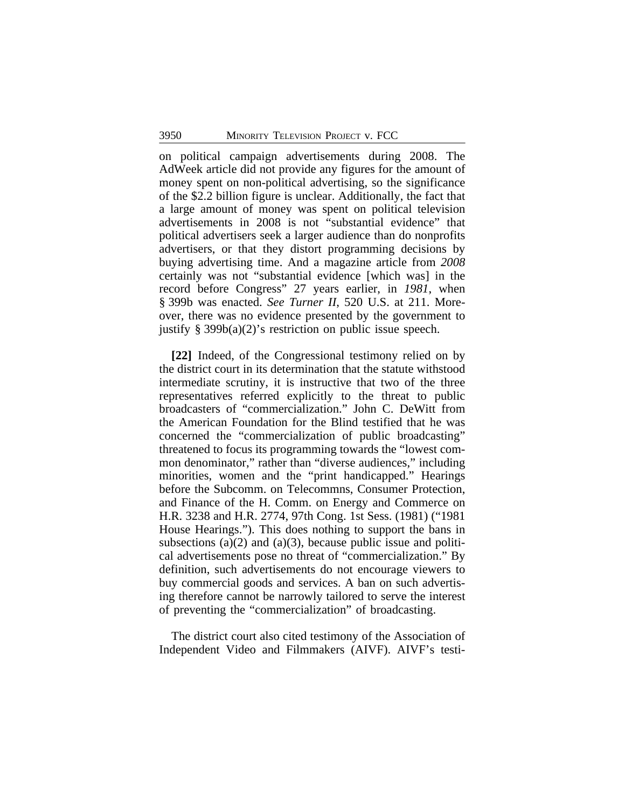on political campaign advertisements during 2008. The AdWeek article did not provide any figures for the amount of money spent on non-political advertising, so the significance of the \$2.2 billion figure is unclear. Additionally, the fact that a large amount of money was spent on political television advertisements in 2008 is not "substantial evidence" that political advertisers seek a larger audience than do nonprofits advertisers, or that they distort programming decisions by buying advertising time. And a magazine article from *2008* certainly was not "substantial evidence [which was] in the record before Congress" 27 years earlier, in *1981*, when § 399b was enacted. *See Turner II*, 520 U.S. at 211. Moreover, there was no evidence presented by the government to justify  $\S$  399b(a)(2)'s restriction on public issue speech.

**[22]** Indeed, of the Congressional testimony relied on by the district court in its determination that the statute withstood intermediate scrutiny, it is instructive that two of the three representatives referred explicitly to the threat to public broadcasters of "commercialization." John C. DeWitt from the American Foundation for the Blind testified that he was concerned the "commercialization of public broadcasting" threatened to focus its programming towards the "lowest common denominator," rather than "diverse audiences," including minorities, women and the "print handicapped." Hearings before the Subcomm. on Telecommns, Consumer Protection, and Finance of the H. Comm. on Energy and Commerce on H.R. 3238 and H.R. 2774, 97th Cong. 1st Sess. (1981) ("1981 House Hearings."). This does nothing to support the bans in subsections (a) $(2)$  and (a) $(3)$ , because public issue and political advertisements pose no threat of "commercialization." By definition, such advertisements do not encourage viewers to buy commercial goods and services. A ban on such advertising therefore cannot be narrowly tailored to serve the interest of preventing the "commercialization" of broadcasting.

The district court also cited testimony of the Association of Independent Video and Filmmakers (AIVF). AIVF's testi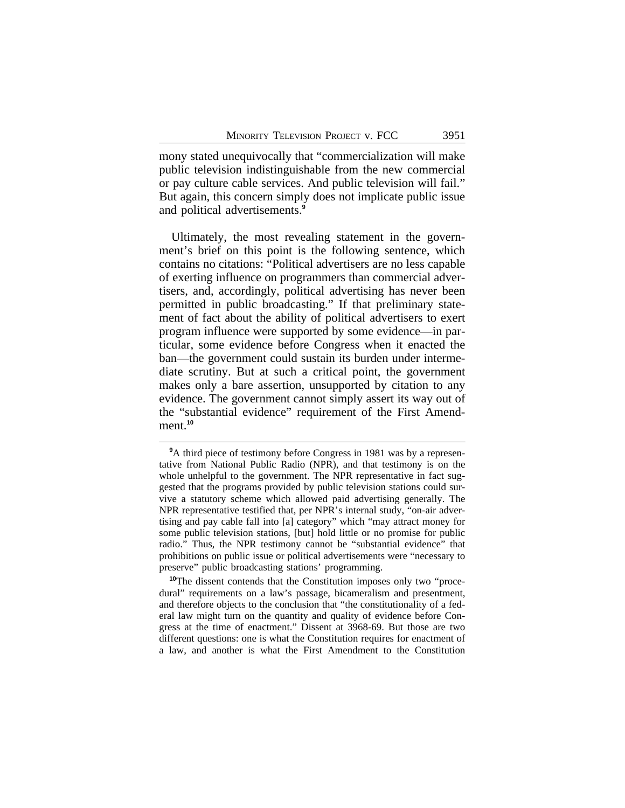mony stated unequivocally that "commercialization will make public television indistinguishable from the new commercial or pay culture cable services. And public television will fail." But again, this concern simply does not implicate public issue and political advertisements.**<sup>9</sup>**

Ultimately, the most revealing statement in the government's brief on this point is the following sentence, which contains no citations: "Political advertisers are no less capable of exerting influence on programmers than commercial advertisers, and, accordingly, political advertising has never been permitted in public broadcasting." If that preliminary statement of fact about the ability of political advertisers to exert program influence were supported by some evidence—in particular, some evidence before Congress when it enacted the ban—the government could sustain its burden under intermediate scrutiny. But at such a critical point, the government makes only a bare assertion, unsupported by citation to any evidence. The government cannot simply assert its way out of the "substantial evidence" requirement of the First Amendment.**<sup>10</sup>**

**<sup>10</sup>**The dissent contends that the Constitution imposes only two "procedural" requirements on a law's passage, bicameralism and presentment, and therefore objects to the conclusion that "the constitutionality of a federal law might turn on the quantity and quality of evidence before Congress at the time of enactment." Dissent at 3968-69. But those are two different questions: one is what the Constitution requires for enactment of a law, and another is what the First Amendment to the Constitution

<sup>&</sup>lt;sup>9</sup>A third piece of testimony before Congress in 1981 was by a representative from National Public Radio (NPR), and that testimony is on the whole unhelpful to the government. The NPR representative in fact suggested that the programs provided by public television stations could survive a statutory scheme which allowed paid advertising generally. The NPR representative testified that, per NPR's internal study, "on-air advertising and pay cable fall into [a] category" which "may attract money for some public television stations, [but] hold little or no promise for public radio." Thus, the NPR testimony cannot be "substantial evidence" that prohibitions on public issue or political advertisements were "necessary to preserve" public broadcasting stations' programming.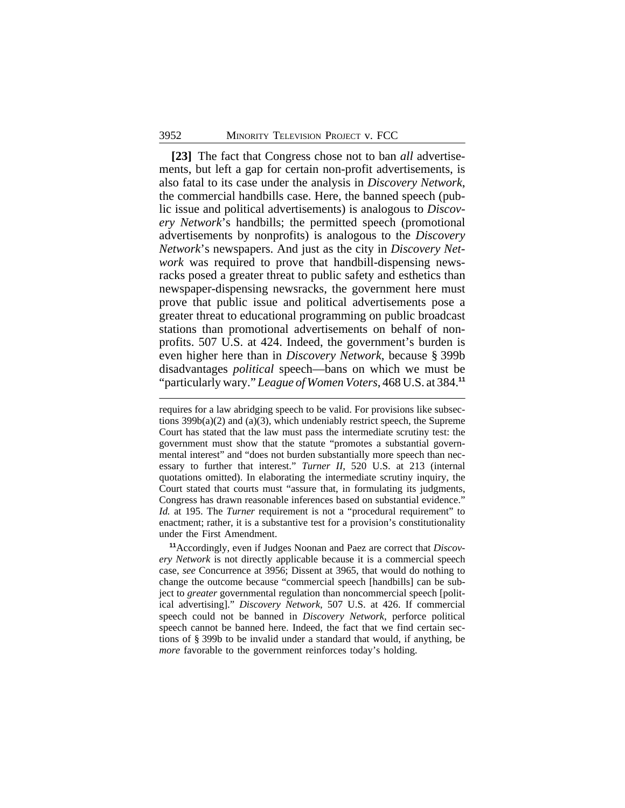**[23]** The fact that Congress chose not to ban *all* advertisements, but left a gap for certain non-profit advertisements, is also fatal to its case under the analysis in *Discovery Network*, the commercial handbills case. Here, the banned speech (public issue and political advertisements) is analogous to *Discovery Network*'s handbills; the permitted speech (promotional advertisements by nonprofits) is analogous to the *Discovery Network*'s newspapers. And just as the city in *Discovery Network* was required to prove that handbill-dispensing newsracks posed a greater threat to public safety and esthetics than newspaper-dispensing newsracks, the government here must prove that public issue and political advertisements pose a greater threat to educational programming on public broadcast stations than promotional advertisements on behalf of nonprofits. 507 U.S. at 424. Indeed, the government's burden is even higher here than in *Discovery Network*, because § 399b disadvantages *political* speech—bans on which we must be "particularly wary." *League of Women Voters*, 468 U.S. at 384.**<sup>11</sup>**

requires for a law abridging speech to be valid. For provisions like subsections  $399b(a)(2)$  and  $(a)(3)$ , which undeniably restrict speech, the Supreme Court has stated that the law must pass the intermediate scrutiny test: the government must show that the statute "promotes a substantial governmental interest" and "does not burden substantially more speech than necessary to further that interest." *Turner II*, 520 U.S. at 213 (internal quotations omitted). In elaborating the intermediate scrutiny inquiry, the Court stated that courts must "assure that, in formulating its judgments, Congress has drawn reasonable inferences based on substantial evidence." *Id.* at 195. The *Turner* requirement is not a "procedural requirement" to enactment; rather, it is a substantive test for a provision's constitutionality under the First Amendment.

**<sup>11</sup>**Accordingly, even if Judges Noonan and Paez are correct that *Discovery Network* is not directly applicable because it is a commercial speech case, *see* Concurrence at 3956; Dissent at 3965, that would do nothing to change the outcome because "commercial speech [handbills] can be subject to *greater* governmental regulation than noncommercial speech [political advertising]." *Discovery Network*, 507 U.S. at 426. If commercial speech could not be banned in *Discovery Network*, perforce political speech cannot be banned here. Indeed, the fact that we find certain sections of § 399b to be invalid under a standard that would, if anything, be *more* favorable to the government reinforces today's holding.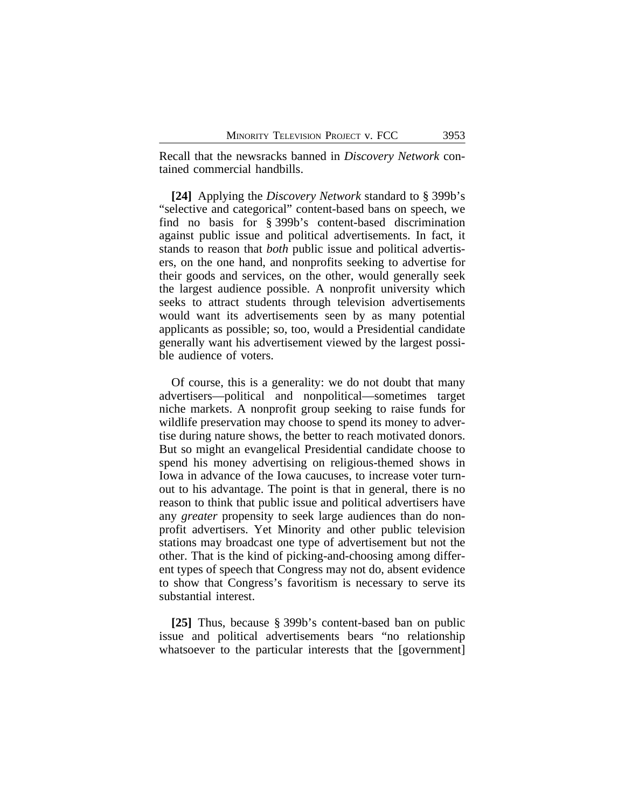Recall that the newsracks banned in *Discovery Network* contained commercial handbills.

**[24]** Applying the *Discovery Network* standard to § 399b's "selective and categorical" content-based bans on speech, we find no basis for § 399b's content-based discrimination against public issue and political advertisements. In fact, it stands to reason that *both* public issue and political advertisers, on the one hand, and nonprofits seeking to advertise for their goods and services, on the other, would generally seek the largest audience possible. A nonprofit university which seeks to attract students through television advertisements would want its advertisements seen by as many potential applicants as possible; so, too, would a Presidential candidate generally want his advertisement viewed by the largest possible audience of voters.

Of course, this is a generality: we do not doubt that many advertisers—political and nonpolitical—sometimes target niche markets. A nonprofit group seeking to raise funds for wildlife preservation may choose to spend its money to advertise during nature shows, the better to reach motivated donors. But so might an evangelical Presidential candidate choose to spend his money advertising on religious-themed shows in Iowa in advance of the Iowa caucuses, to increase voter turnout to his advantage. The point is that in general, there is no reason to think that public issue and political advertisers have any *greater* propensity to seek large audiences than do nonprofit advertisers. Yet Minority and other public television stations may broadcast one type of advertisement but not the other. That is the kind of picking-and-choosing among different types of speech that Congress may not do, absent evidence to show that Congress's favoritism is necessary to serve its substantial interest.

**[25]** Thus, because § 399b's content-based ban on public issue and political advertisements bears "no relationship whatsoever to the particular interests that the [government]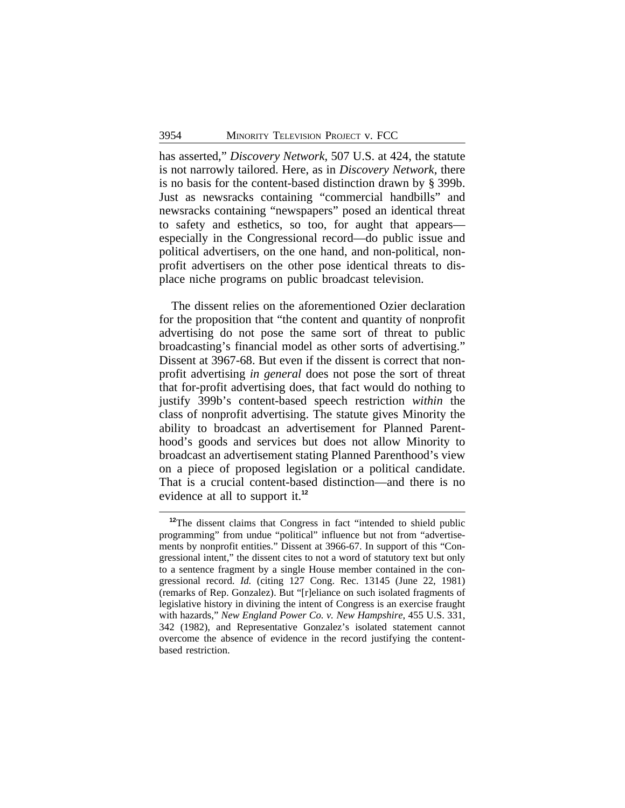has asserted," *Discovery Network*, 507 U.S. at 424, the statute is not narrowly tailored. Here, as in *Discovery Network*, there is no basis for the content-based distinction drawn by § 399b. Just as newsracks containing "commercial handbills" and newsracks containing "newspapers" posed an identical threat to safety and esthetics, so too, for aught that appears especially in the Congressional record—do public issue and political advertisers, on the one hand, and non-political, nonprofit advertisers on the other pose identical threats to displace niche programs on public broadcast television.

The dissent relies on the aforementioned Ozier declaration for the proposition that "the content and quantity of nonprofit advertising do not pose the same sort of threat to public broadcasting's financial model as other sorts of advertising." Dissent at 3967-68. But even if the dissent is correct that nonprofit advertising *in general* does not pose the sort of threat that for-profit advertising does, that fact would do nothing to justify 399b's content-based speech restriction *within* the class of nonprofit advertising. The statute gives Minority the ability to broadcast an advertisement for Planned Parenthood's goods and services but does not allow Minority to broadcast an advertisement stating Planned Parenthood's view on a piece of proposed legislation or a political candidate. That is a crucial content-based distinction—and there is no evidence at all to support it.**<sup>12</sup>**

**<sup>12</sup>**The dissent claims that Congress in fact "intended to shield public programming" from undue "political" influence but not from "advertisements by nonprofit entities." Dissent at 3966-67. In support of this "Congressional intent," the dissent cites to not a word of statutory text but only to a sentence fragment by a single House member contained in the congressional record. *Id.* (citing 127 Cong. Rec. 13145 (June 22, 1981) (remarks of Rep. Gonzalez). But "[r]eliance on such isolated fragments of legislative history in divining the intent of Congress is an exercise fraught with hazards," *New England Power Co. v. New Hampshire*, 455 U.S. 331, 342 (1982), and Representative Gonzalez's isolated statement cannot overcome the absence of evidence in the record justifying the contentbased restriction.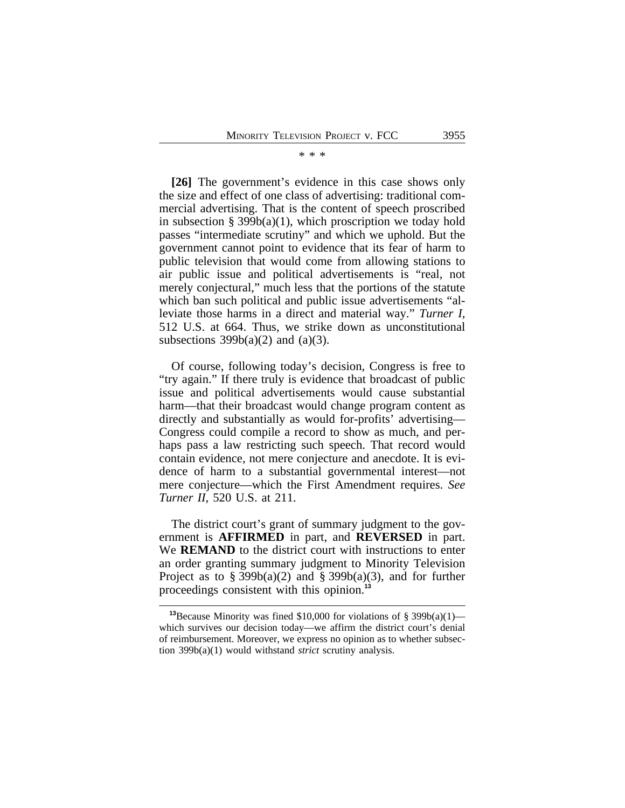#### \* \* \*

**[26]** The government's evidence in this case shows only the size and effect of one class of advertising: traditional commercial advertising. That is the content of speech proscribed in subsection  $\S 399b(a)(1)$ , which proscription we today hold passes "intermediate scrutiny" and which we uphold. But the government cannot point to evidence that its fear of harm to public television that would come from allowing stations to air public issue and political advertisements is "real, not merely conjectural," much less that the portions of the statute which ban such political and public issue advertisements "alleviate those harms in a direct and material way." *Turner I*, 512 U.S. at 664. Thus, we strike down as unconstitutional subsections  $399b(a)(2)$  and  $(a)(3)$ .

Of course, following today's decision, Congress is free to "try again." If there truly is evidence that broadcast of public issue and political advertisements would cause substantial harm—that their broadcast would change program content as directly and substantially as would for-profits' advertising— Congress could compile a record to show as much, and perhaps pass a law restricting such speech. That record would contain evidence, not mere conjecture and anecdote. It is evidence of harm to a substantial governmental interest—not mere conjecture—which the First Amendment requires. *See Turner II*, 520 U.S. at 211.

The district court's grant of summary judgment to the government is **AFFIRMED** in part, and **REVERSED** in part. We **REMAND** to the district court with instructions to enter an order granting summary judgment to Minority Television Project as to § 399b(a)(2) and § 399b(a)(3), and for further proceedings consistent with this opinion.**<sup>13</sup>**

<sup>&</sup>lt;sup>13</sup>Because Minority was fined \$10,000 for violations of  $\S$  399b(a)(1) which survives our decision today—we affirm the district court's denial of reimbursement. Moreover, we express no opinion as to whether subsection 399b(a)(1) would withstand *strict* scrutiny analysis.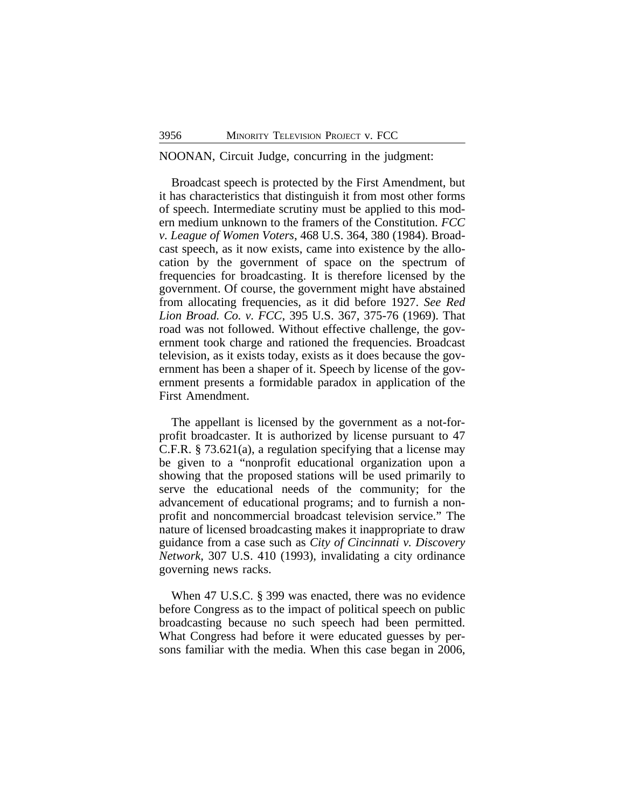#### NOONAN, Circuit Judge, concurring in the judgment:

Broadcast speech is protected by the First Amendment, but it has characteristics that distinguish it from most other forms of speech. Intermediate scrutiny must be applied to this modern medium unknown to the framers of the Constitution. *FCC v. League of Women Voters*, 468 U.S. 364, 380 (1984). Broadcast speech, as it now exists, came into existence by the allocation by the government of space on the spectrum of frequencies for broadcasting. It is therefore licensed by the government. Of course, the government might have abstained from allocating frequencies, as it did before 1927. *See Red Lion Broad. Co. v. FCC*, 395 U.S. 367, 375-76 (1969). That road was not followed. Without effective challenge, the government took charge and rationed the frequencies. Broadcast television, as it exists today, exists as it does because the government has been a shaper of it. Speech by license of the government presents a formidable paradox in application of the First Amendment.

The appellant is licensed by the government as a not-forprofit broadcaster. It is authorized by license pursuant to 47 C.F.R. § 73.621(a), a regulation specifying that a license may be given to a "nonprofit educational organization upon a showing that the proposed stations will be used primarily to serve the educational needs of the community; for the advancement of educational programs; and to furnish a nonprofit and noncommercial broadcast television service." The nature of licensed broadcasting makes it inappropriate to draw guidance from a case such as *City of Cincinnati v. Discovery Network*, 307 U.S. 410 (1993), invalidating a city ordinance governing news racks.

When 47 U.S.C. § 399 was enacted, there was no evidence before Congress as to the impact of political speech on public broadcasting because no such speech had been permitted. What Congress had before it were educated guesses by persons familiar with the media. When this case began in 2006,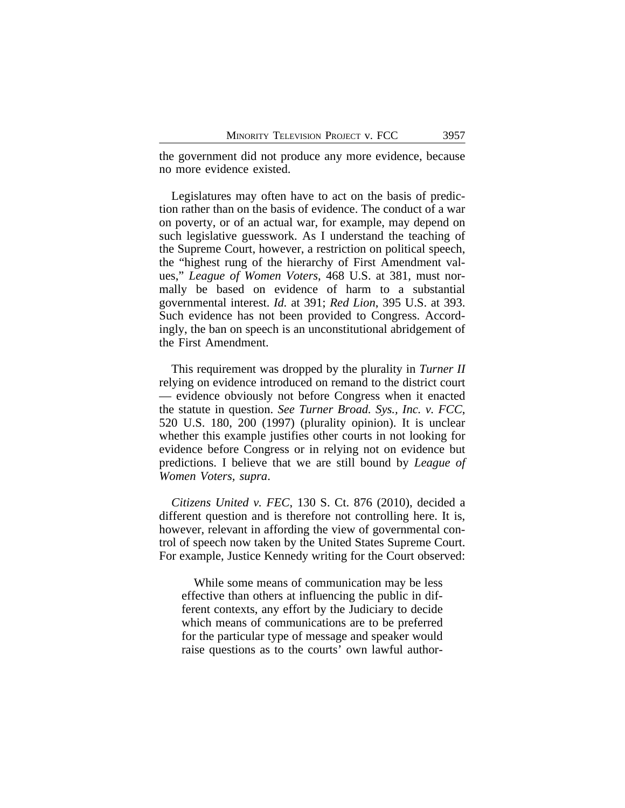the government did not produce any more evidence, because no more evidence existed.

Legislatures may often have to act on the basis of prediction rather than on the basis of evidence. The conduct of a war on poverty, or of an actual war, for example, may depend on such legislative guesswork. As I understand the teaching of the Supreme Court, however, a restriction on political speech, the "highest rung of the hierarchy of First Amendment values," *League of Women Voters*, 468 U.S. at 381, must normally be based on evidence of harm to a substantial governmental interest. *Id.* at 391; *Red Lion*, 395 U.S. at 393. Such evidence has not been provided to Congress. Accordingly, the ban on speech is an unconstitutional abridgement of the First Amendment.

This requirement was dropped by the plurality in *Turner II* relying on evidence introduced on remand to the district court — evidence obviously not before Congress when it enacted the statute in question. *See Turner Broad. Sys., Inc. v. FCC*, 520 U.S. 180, 200 (1997) (plurality opinion). It is unclear whether this example justifies other courts in not looking for evidence before Congress or in relying not on evidence but predictions. I believe that we are still bound by *League of Women Voters, supra*.

*Citizens United v. FEC*, 130 S. Ct. 876 (2010), decided a different question and is therefore not controlling here. It is, however, relevant in affording the view of governmental control of speech now taken by the United States Supreme Court. For example, Justice Kennedy writing for the Court observed:

While some means of communication may be less effective than others at influencing the public in different contexts, any effort by the Judiciary to decide which means of communications are to be preferred for the particular type of message and speaker would raise questions as to the courts' own lawful author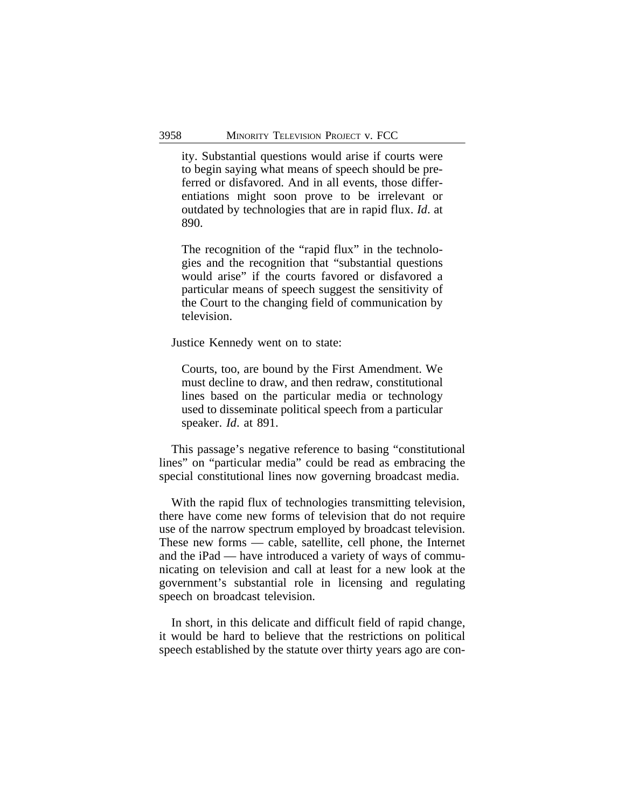ity. Substantial questions would arise if courts were to begin saying what means of speech should be preferred or disfavored. And in all events, those differentiations might soon prove to be irrelevant or outdated by technologies that are in rapid flux. *Id*. at 890.

The recognition of the "rapid flux" in the technologies and the recognition that "substantial questions would arise" if the courts favored or disfavored a particular means of speech suggest the sensitivity of the Court to the changing field of communication by television.

Justice Kennedy went on to state:

Courts, too, are bound by the First Amendment. We must decline to draw, and then redraw, constitutional lines based on the particular media or technology used to disseminate political speech from a particular speaker. *Id*. at 891.

This passage's negative reference to basing "constitutional lines" on "particular media" could be read as embracing the special constitutional lines now governing broadcast media.

With the rapid flux of technologies transmitting television, there have come new forms of television that do not require use of the narrow spectrum employed by broadcast television. These new forms — cable, satellite, cell phone, the Internet and the iPad — have introduced a variety of ways of communicating on television and call at least for a new look at the government's substantial role in licensing and regulating speech on broadcast television.

In short, in this delicate and difficult field of rapid change, it would be hard to believe that the restrictions on political speech established by the statute over thirty years ago are con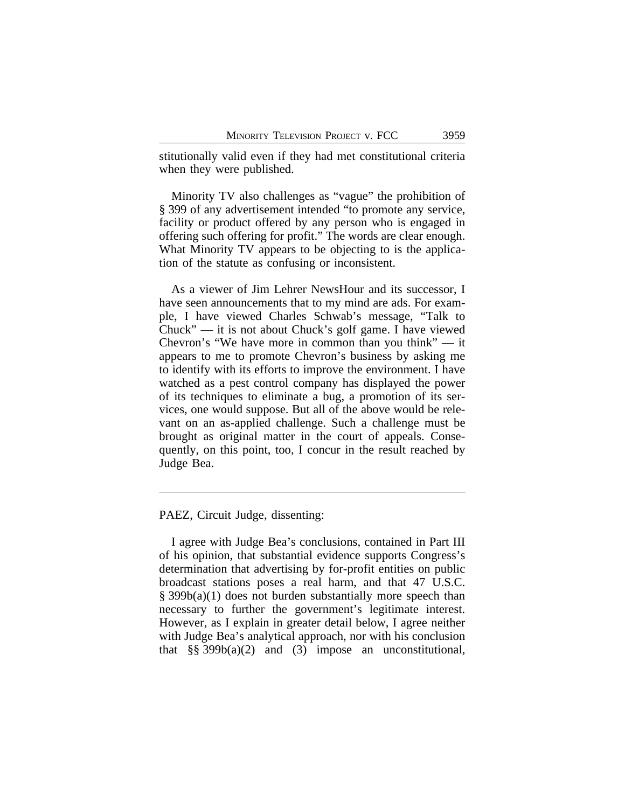stitutionally valid even if they had met constitutional criteria when they were published.

Minority TV also challenges as "vague" the prohibition of § 399 of any advertisement intended "to promote any service, facility or product offered by any person who is engaged in offering such offering for profit." The words are clear enough. What Minority TV appears to be objecting to is the application of the statute as confusing or inconsistent.

As a viewer of Jim Lehrer NewsHour and its successor, I have seen announcements that to my mind are ads. For example, I have viewed Charles Schwab's message, "Talk to Chuck" — it is not about Chuck's golf game. I have viewed Chevron's "We have more in common than you think" — it appears to me to promote Chevron's business by asking me to identify with its efforts to improve the environment. I have watched as a pest control company has displayed the power of its techniques to eliminate a bug, a promotion of its services, one would suppose. But all of the above would be relevant on an as-applied challenge. Such a challenge must be brought as original matter in the court of appeals. Consequently, on this point, too, I concur in the result reached by Judge Bea.

PAEZ, Circuit Judge, dissenting:

I agree with Judge Bea's conclusions, contained in Part III of his opinion, that substantial evidence supports Congress's determination that advertising by for-profit entities on public broadcast stations poses a real harm, and that 47 U.S.C. § 399b(a)(1) does not burden substantially more speech than necessary to further the government's legitimate interest. However, as I explain in greater detail below, I agree neither with Judge Bea's analytical approach, nor with his conclusion that  $\S$ § 399b(a)(2) and (3) impose an unconstitutional,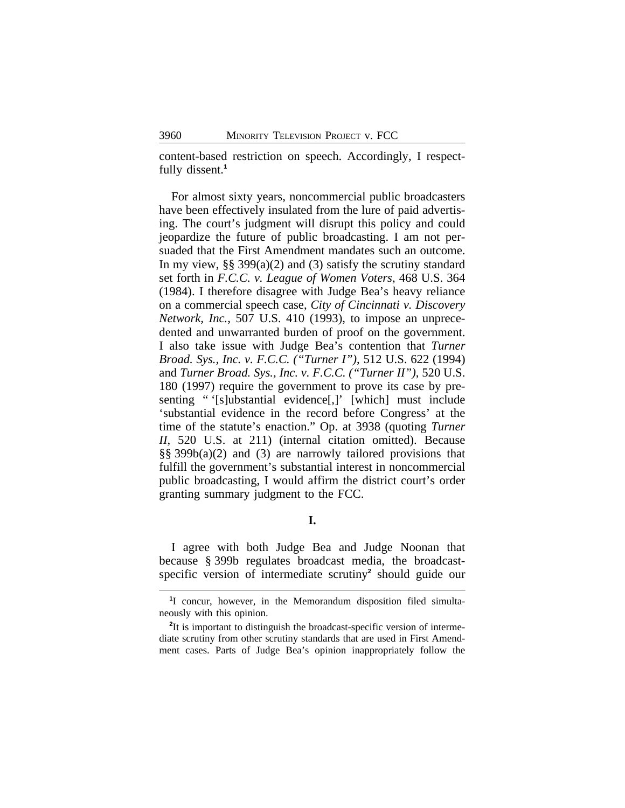content-based restriction on speech. Accordingly, I respectfully dissent.**<sup>1</sup>**

For almost sixty years, noncommercial public broadcasters have been effectively insulated from the lure of paid advertising. The court's judgment will disrupt this policy and could jeopardize the future of public broadcasting. I am not persuaded that the First Amendment mandates such an outcome. In my view, §§ 399(a)(2) and (3) satisfy the scrutiny standard set forth in *F.C.C. v. League of Women Voters*, 468 U.S. 364 (1984). I therefore disagree with Judge Bea's heavy reliance on a commercial speech case, *City of Cincinnati v. Discovery Network, Inc.*, 507 U.S. 410 (1993), to impose an unprecedented and unwarranted burden of proof on the government. I also take issue with Judge Bea's contention that *Turner Broad. Sys., Inc. v. F.C.C. ("Turner I")*, 512 U.S. 622 (1994) and *Turner Broad. Sys., Inc. v. F.C.C. ("Turner II")*, 520 U.S. 180 (1997) require the government to prove its case by presenting " '[s]ubstantial evidence[,]' [which] must include 'substantial evidence in the record before Congress' at the time of the statute's enaction." Op. at 3938 (quoting *Turner II*, 520 U.S. at 211) (internal citation omitted). Because §§ 399b(a)(2) and (3) are narrowly tailored provisions that fulfill the government's substantial interest in noncommercial public broadcasting, I would affirm the district court's order granting summary judgment to the FCC.

**I.**

I agree with both Judge Bea and Judge Noonan that because § 399b regulates broadcast media, the broadcastspecific version of intermediate scrutiny**<sup>2</sup>** should guide our

<sup>&</sup>lt;sup>1</sup>I concur, however, in the Memorandum disposition filed simultaneously with this opinion.

<sup>&</sup>lt;sup>2</sup>It is important to distinguish the broadcast-specific version of intermediate scrutiny from other scrutiny standards that are used in First Amendment cases. Parts of Judge Bea's opinion inappropriately follow the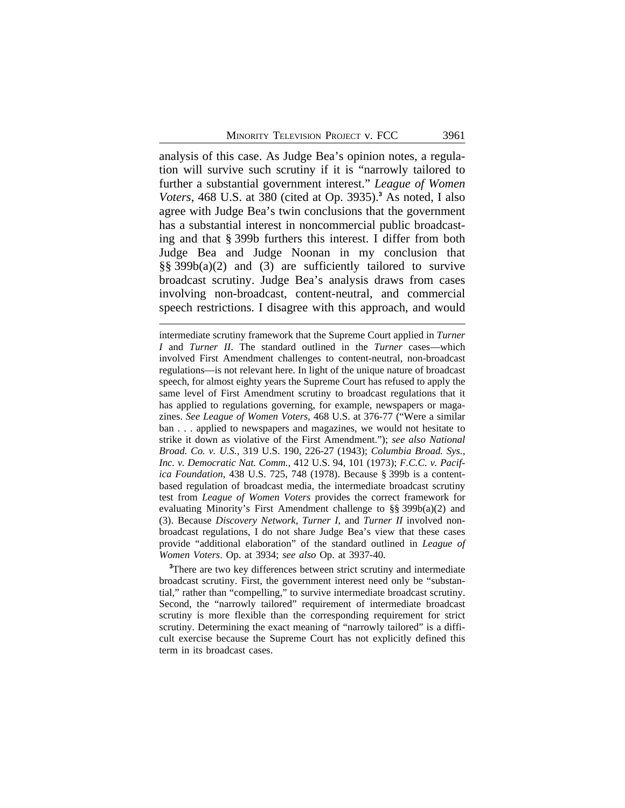analysis of this case. As Judge Bea's opinion notes, a regulation will survive such scrutiny if it is "narrowly tailored to further a substantial government interest." *League of Women Voters*, 468 U.S. at 380 (cited at Op. 3935).**<sup>3</sup>** As noted, I also agree with Judge Bea's twin conclusions that the government has a substantial interest in noncommercial public broadcasting and that § 399b furthers this interest. I differ from both Judge Bea and Judge Noonan in my conclusion that §§ 399b(a)(2) and (3) are sufficiently tailored to survive broadcast scrutiny. Judge Bea's analysis draws from cases involving non-broadcast, content-neutral, and commercial speech restrictions. I disagree with this approach, and would

intermediate scrutiny framework that the Supreme Court applied in *Turner I* and *Turner II*. The standard outlined in the *Turner* cases—which involved First Amendment challenges to content-neutral, non-broadcast regulations—is not relevant here. In light of the unique nature of broadcast speech, for almost eighty years the Supreme Court has refused to apply the same level of First Amendment scrutiny to broadcast regulations that it has applied to regulations governing, for example, newspapers or magazines. *See League of Women Voters*, 468 U.S. at 376-77 ("Were a similar ban . . . applied to newspapers and magazines, we would not hesitate to strike it down as violative of the First Amendment."); *see also National Broad. Co. v. U.S.*, 319 U.S. 190, 226-27 (1943); *Columbia Broad. Sys., Inc. v. Democratic Nat. Comm.*, 412 U.S. 94, 101 (1973); *F.C.C. v. Pacifica Foundation*, 438 U.S. 725, 748 (1978). Because § 399b is a contentbased regulation of broadcast media, the intermediate broadcast scrutiny test from *League of Women Voters* provides the correct framework for evaluating Minority's First Amendment challenge to §§ 399b(a)(2) and (3). Because *Discovery Network*, *Turner I*, and *Turner II* involved nonbroadcast regulations, I do not share Judge Bea's view that these cases provide "additional elaboration" of the standard outlined in *League of Women Voters*. Op. at 3934; *see also* Op. at 3937-40.

**<sup>3</sup>**There are two key differences between strict scrutiny and intermediate broadcast scrutiny. First, the government interest need only be "substantial," rather than "compelling," to survive intermediate broadcast scrutiny. Second, the "narrowly tailored" requirement of intermediate broadcast scrutiny is more flexible than the corresponding requirement for strict scrutiny. Determining the exact meaning of "narrowly tailored" is a difficult exercise because the Supreme Court has not explicitly defined this term in its broadcast cases.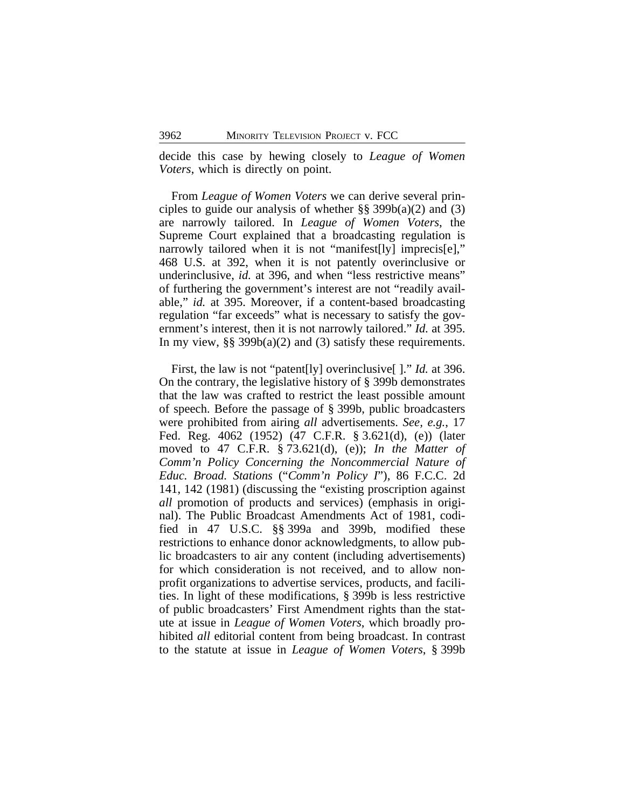decide this case by hewing closely to *League of Women Voters*, which is directly on point.

From *League of Women Voters* we can derive several principles to guide our analysis of whether  $\S$ § 399b(a)(2) and (3) are narrowly tailored. In *League of Women Voters*, the Supreme Court explained that a broadcasting regulation is narrowly tailored when it is not "manifest[ly] imprecis[e]," 468 U.S. at 392, when it is not patently overinclusive or underinclusive, *id.* at 396, and when "less restrictive means" of furthering the government's interest are not "readily available," *id.* at 395. Moreover, if a content-based broadcasting regulation "far exceeds" what is necessary to satisfy the government's interest, then it is not narrowly tailored." *Id.* at 395. In my view, §§ 399b(a)(2) and (3) satisfy these requirements.

First, the law is not "patent[ly] overinclusive[ ]." *Id.* at 396. On the contrary, the legislative history of § 399b demonstrates that the law was crafted to restrict the least possible amount of speech. Before the passage of § 399b, public broadcasters were prohibited from airing *all* advertisements. *See, e.g.*, 17 Fed. Reg. 4062 (1952) (47 C.F.R. § 3.621(d), (e)) (later moved to 47 C.F.R. § 73.621(d), (e)); *In the Matter of Comm'n Policy Concerning the Noncommercial Nature of Educ. Broad. Stations* ("*Comm'n Policy I*"), 86 F.C.C. 2d 141, 142 (1981) (discussing the "existing proscription against *all* promotion of products and services) (emphasis in original). The Public Broadcast Amendments Act of 1981, codified in 47 U.S.C. §§ 399a and 399b, modified these restrictions to enhance donor acknowledgments, to allow public broadcasters to air any content (including advertisements) for which consideration is not received, and to allow nonprofit organizations to advertise services, products, and facilities. In light of these modifications, § 399b is less restrictive of public broadcasters' First Amendment rights than the statute at issue in *League of Women Voters*, which broadly prohibited *all* editorial content from being broadcast. In contrast to the statute at issue in *League of Women Voters*, § 399b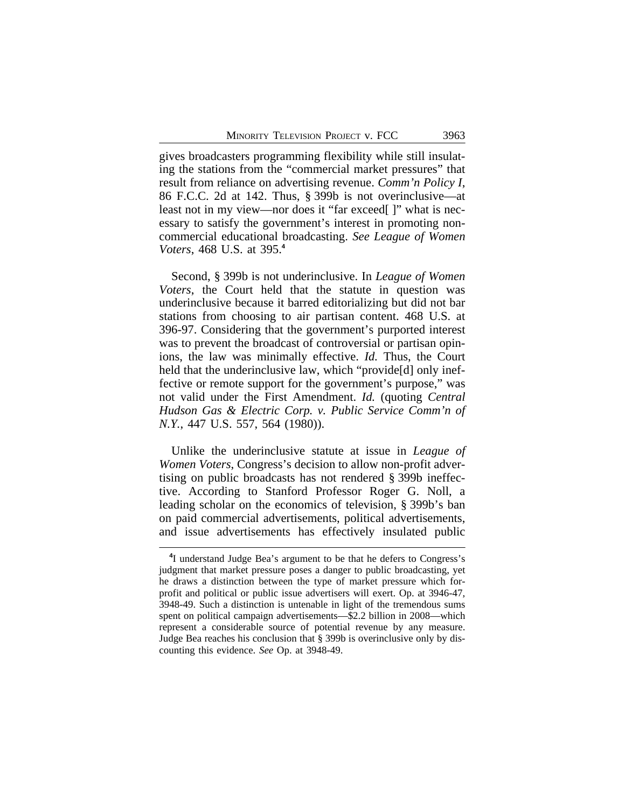gives broadcasters programming flexibility while still insulating the stations from the "commercial market pressures" that result from reliance on advertising revenue. *Comm'n Policy I*, 86 F.C.C. 2d at 142. Thus, § 399b is not overinclusive—at least not in my view—nor does it "far exceed[ ]" what is necessary to satisfy the government's interest in promoting noncommercial educational broadcasting. *See League of Women Voters*, 468 U.S. at 395.**<sup>4</sup>**

Second, § 399b is not underinclusive. In *League of Women Voters*, the Court held that the statute in question was underinclusive because it barred editorializing but did not bar stations from choosing to air partisan content. 468 U.S. at 396-97. Considering that the government's purported interest was to prevent the broadcast of controversial or partisan opinions, the law was minimally effective. *Id.* Thus, the Court held that the underinclusive law, which "provide<sup>[d]</sup> only ineffective or remote support for the government's purpose," was not valid under the First Amendment. *Id.* (quoting *Central Hudson Gas & Electric Corp. v. Public Service Comm'n of N.Y.*, 447 U.S. 557, 564 (1980)).

Unlike the underinclusive statute at issue in *League of Women Voters*, Congress's decision to allow non-profit advertising on public broadcasts has not rendered § 399b ineffective. According to Stanford Professor Roger G. Noll, a leading scholar on the economics of television, § 399b's ban on paid commercial advertisements, political advertisements, and issue advertisements has effectively insulated public

<sup>&</sup>lt;sup>4</sup>I understand Judge Bea's argument to be that he defers to Congress's judgment that market pressure poses a danger to public broadcasting, yet he draws a distinction between the type of market pressure which forprofit and political or public issue advertisers will exert. Op. at 3946-47, 3948-49. Such a distinction is untenable in light of the tremendous sums spent on political campaign advertisements—\$2.2 billion in 2008—which represent a considerable source of potential revenue by any measure. Judge Bea reaches his conclusion that § 399b is overinclusive only by discounting this evidence. *See* Op. at 3948-49.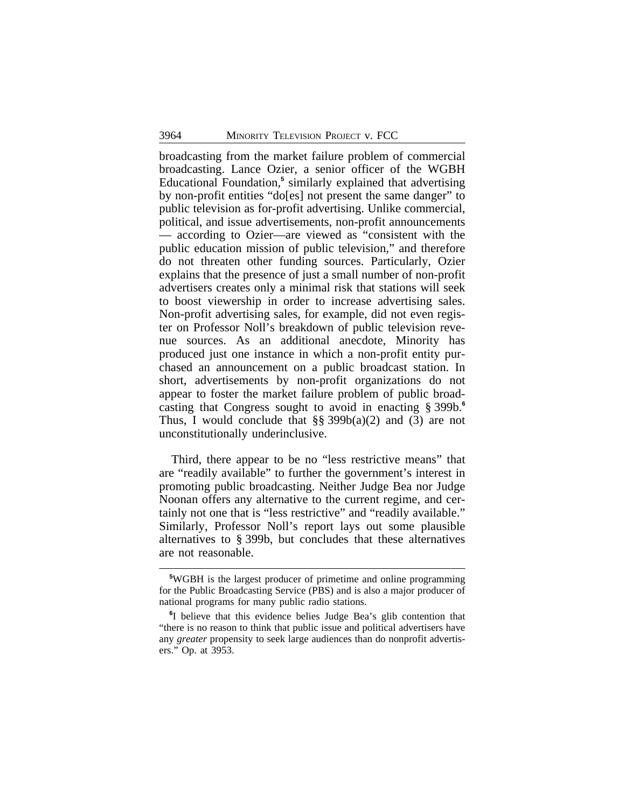broadcasting from the market failure problem of commercial broadcasting. Lance Ozier, a senior officer of the WGBH Educational Foundation,<sup>5</sup> similarly explained that advertising by non-profit entities "do[es] not present the same danger" to public television as for-profit advertising. Unlike commercial, political, and issue advertisements, non-profit announcements — according to Ozier—are viewed as "consistent with the public education mission of public television," and therefore do not threaten other funding sources. Particularly, Ozier explains that the presence of just a small number of non-profit advertisers creates only a minimal risk that stations will seek to boost viewership in order to increase advertising sales. Non-profit advertising sales, for example, did not even register on Professor Noll's breakdown of public television revenue sources. As an additional anecdote, Minority has produced just one instance in which a non-profit entity purchased an announcement on a public broadcast station. In short, advertisements by non-profit organizations do not appear to foster the market failure problem of public broadcasting that Congress sought to avoid in enacting § 399b.**<sup>6</sup>** Thus, I would conclude that  $\S$  399b(a)(2) and (3) are not unconstitutionally underinclusive.

Third, there appear to be no "less restrictive means" that are "readily available" to further the government's interest in promoting public broadcasting. Neither Judge Bea nor Judge Noonan offers any alternative to the current regime, and certainly not one that is "less restrictive" and "readily available." Similarly, Professor Noll's report lays out some plausible alternatives to § 399b, but concludes that these alternatives are not reasonable.

**<sup>5</sup>**WGBH is the largest producer of primetime and online programming for the Public Broadcasting Service (PBS) and is also a major producer of national programs for many public radio stations.

**<sup>6</sup>** I believe that this evidence belies Judge Bea's glib contention that "there is no reason to think that public issue and political advertisers have any *greater* propensity to seek large audiences than do nonprofit advertisers." Op. at 3953.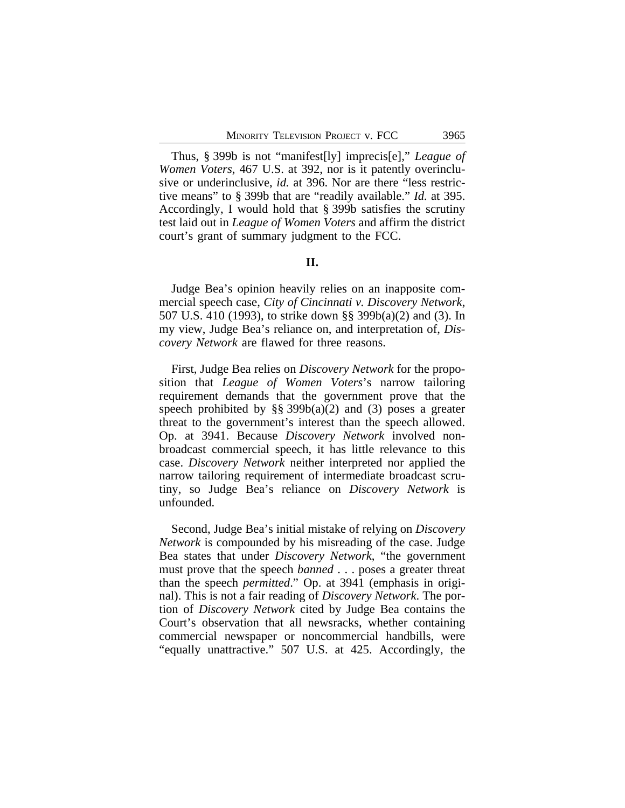Thus, § 399b is not "manifest[ly] imprecis[e]," *League of Women Voters*, 467 U.S. at 392, nor is it patently overinclusive or underinclusive, *id.* at 396. Nor are there "less restrictive means" to § 399b that are "readily available." *Id.* at 395. Accordingly, I would hold that § 399b satisfies the scrutiny test laid out in *League of Women Voters* and affirm the district court's grant of summary judgment to the FCC.

### **II.**

Judge Bea's opinion heavily relies on an inapposite commercial speech case, *City of Cincinnati v. Discovery Network*, 507 U.S. 410 (1993), to strike down §§ 399b(a)(2) and (3). In my view, Judge Bea's reliance on, and interpretation of, *Discovery Network* are flawed for three reasons.

First, Judge Bea relies on *Discovery Network* for the proposition that *League of Women Voters*'s narrow tailoring requirement demands that the government prove that the speech prohibited by  $\S$ § 399b(a)(2) and (3) poses a greater threat to the government's interest than the speech allowed. Op. at 3941. Because *Discovery Network* involved nonbroadcast commercial speech, it has little relevance to this case. *Discovery Network* neither interpreted nor applied the narrow tailoring requirement of intermediate broadcast scrutiny, so Judge Bea's reliance on *Discovery Network* is unfounded.

Second, Judge Bea's initial mistake of relying on *Discovery Network* is compounded by his misreading of the case. Judge Bea states that under *Discovery Network*, "the government must prove that the speech *banned* . . . poses a greater threat than the speech *permitted*." Op. at 3941 (emphasis in original). This is not a fair reading of *Discovery Network*. The portion of *Discovery Network* cited by Judge Bea contains the Court's observation that all newsracks, whether containing commercial newspaper or noncommercial handbills, were "equally unattractive." 507 U.S. at 425. Accordingly, the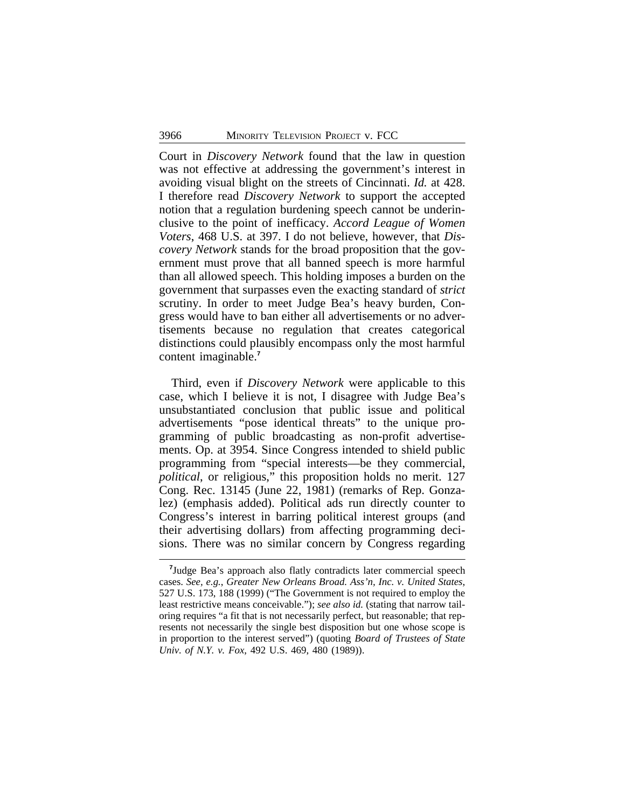Court in *Discovery Network* found that the law in question was not effective at addressing the government's interest in avoiding visual blight on the streets of Cincinnati. *Id.* at 428. I therefore read *Discovery Network* to support the accepted notion that a regulation burdening speech cannot be underinclusive to the point of inefficacy. *Accord League of Women Voters*, 468 U.S. at 397. I do not believe, however, that *Discovery Network* stands for the broad proposition that the government must prove that all banned speech is more harmful than all allowed speech. This holding imposes a burden on the government that surpasses even the exacting standard of *strict* scrutiny. In order to meet Judge Bea's heavy burden, Congress would have to ban either all advertisements or no advertisements because no regulation that creates categorical distinctions could plausibly encompass only the most harmful content imaginable.**<sup>7</sup>**

Third, even if *Discovery Network* were applicable to this case, which I believe it is not, I disagree with Judge Bea's unsubstantiated conclusion that public issue and political advertisements "pose identical threats" to the unique programming of public broadcasting as non-profit advertisements. Op. at 3954. Since Congress intended to shield public programming from "special interests—be they commercial, *political*, or religious," this proposition holds no merit. 127 Cong. Rec. 13145 (June 22, 1981) (remarks of Rep. Gonzalez) (emphasis added). Political ads run directly counter to Congress's interest in barring political interest groups (and their advertising dollars) from affecting programming decisions. There was no similar concern by Congress regarding

<sup>&</sup>lt;sup>7</sup>Judge Bea's approach also flatly contradicts later commercial speech cases. *See, e.g.*, *Greater New Orleans Broad. Ass'n, Inc. v. United States*, 527 U.S. 173, 188 (1999) ("The Government is not required to employ the least restrictive means conceivable."); *see also id.* (stating that narrow tailoring requires "a fit that is not necessarily perfect, but reasonable; that represents not necessarily the single best disposition but one whose scope is in proportion to the interest served") (quoting *Board of Trustees of State Univ. of N.Y. v. Fox*, 492 U.S. 469, 480 (1989)).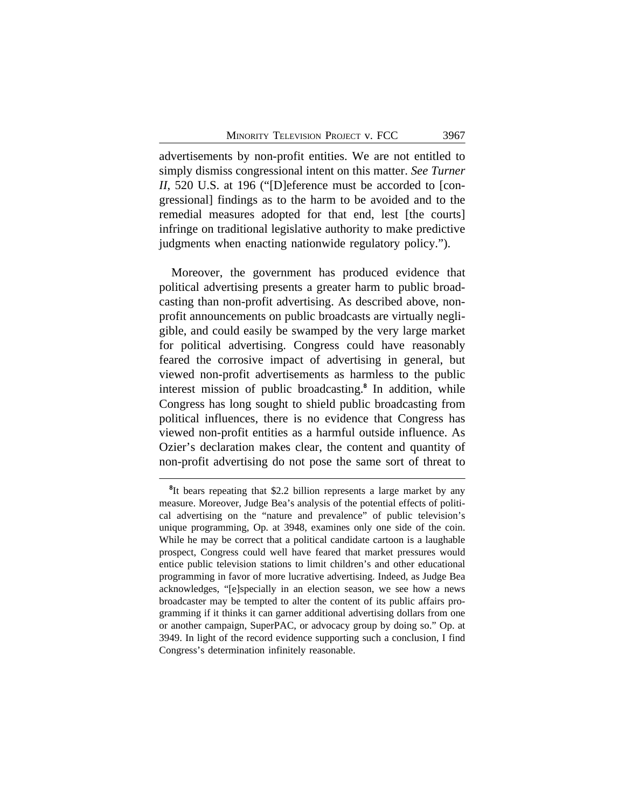advertisements by non-profit entities. We are not entitled to simply dismiss congressional intent on this matter. *See Turner II*, 520 U.S. at 196 ("[D]eference must be accorded to [congressional] findings as to the harm to be avoided and to the remedial measures adopted for that end, lest [the courts] infringe on traditional legislative authority to make predictive judgments when enacting nationwide regulatory policy.").

Moreover, the government has produced evidence that political advertising presents a greater harm to public broadcasting than non-profit advertising. As described above, nonprofit announcements on public broadcasts are virtually negligible, and could easily be swamped by the very large market for political advertising. Congress could have reasonably feared the corrosive impact of advertising in general, but viewed non-profit advertisements as harmless to the public interest mission of public broadcasting.**<sup>8</sup>** In addition, while Congress has long sought to shield public broadcasting from political influences, there is no evidence that Congress has viewed non-profit entities as a harmful outside influence. As Ozier's declaration makes clear, the content and quantity of non-profit advertising do not pose the same sort of threat to

<sup>&</sup>lt;sup>8</sup>It bears repeating that \$2.2 billion represents a large market by any measure. Moreover, Judge Bea's analysis of the potential effects of political advertising on the "nature and prevalence" of public television's unique programming, Op. at 3948, examines only one side of the coin. While he may be correct that a political candidate cartoon is a laughable prospect, Congress could well have feared that market pressures would entice public television stations to limit children's and other educational programming in favor of more lucrative advertising. Indeed, as Judge Bea acknowledges, "[e]specially in an election season, we see how a news broadcaster may be tempted to alter the content of its public affairs programming if it thinks it can garner additional advertising dollars from one or another campaign, SuperPAC, or advocacy group by doing so." Op. at 3949. In light of the record evidence supporting such a conclusion, I find Congress's determination infinitely reasonable.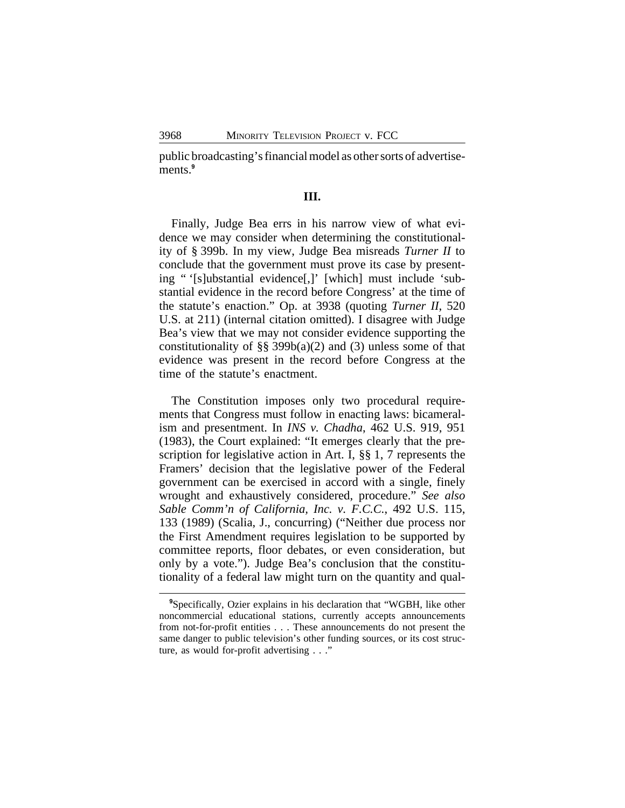public broadcasting's financial model as other sorts of advertisements.**<sup>9</sup>**

### **III.**

Finally, Judge Bea errs in his narrow view of what evidence we may consider when determining the constitutionality of § 399b. In my view, Judge Bea misreads *Turner II* to conclude that the government must prove its case by presenting " '[s]ubstantial evidence[,]' [which] must include 'substantial evidence in the record before Congress' at the time of the statute's enaction." Op. at 3938 (quoting *Turner II*, 520 U.S. at 211) (internal citation omitted). I disagree with Judge Bea's view that we may not consider evidence supporting the constitutionality of §§ 399b(a)(2) and (3) unless some of that evidence was present in the record before Congress at the time of the statute's enactment.

The Constitution imposes only two procedural requirements that Congress must follow in enacting laws: bicameralism and presentment. In *INS v. Chadha*, 462 U.S. 919, 951 (1983), the Court explained: "It emerges clearly that the prescription for legislative action in Art. I, §§ 1, 7 represents the Framers' decision that the legislative power of the Federal government can be exercised in accord with a single, finely wrought and exhaustively considered, procedure." *See also Sable Comm'n of California, Inc. v. F.C.C.*, 492 U.S. 115, 133 (1989) (Scalia, J., concurring) ("Neither due process nor the First Amendment requires legislation to be supported by committee reports, floor debates, or even consideration, but only by a vote."). Judge Bea's conclusion that the constitutionality of a federal law might turn on the quantity and qual-

**<sup>9</sup>**Specifically, Ozier explains in his declaration that "WGBH, like other noncommercial educational stations, currently accepts announcements from not-for-profit entities . . . These announcements do not present the same danger to public television's other funding sources, or its cost structure, as would for-profit advertising . . ."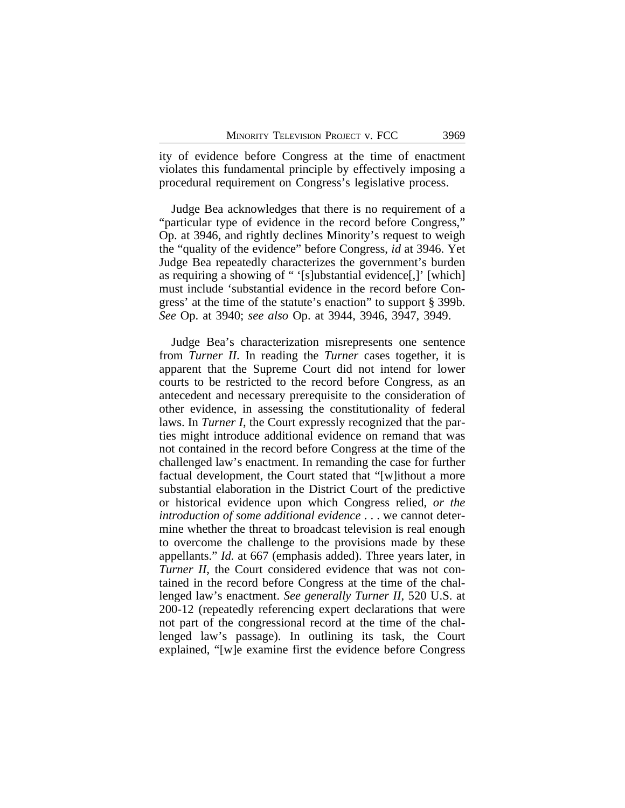ity of evidence before Congress at the time of enactment violates this fundamental principle by effectively imposing a procedural requirement on Congress's legislative process.

Judge Bea acknowledges that there is no requirement of a "particular type of evidence in the record before Congress," Op. at 3946, and rightly declines Minority's request to weigh the "quality of the evidence" before Congress, *id* at 3946. Yet Judge Bea repeatedly characterizes the government's burden as requiring a showing of " '[s]ubstantial evidence[,]' [which] must include 'substantial evidence in the record before Congress' at the time of the statute's enaction" to support § 399b. *See* Op. at 3940; *see also* Op. at 3944, 3946, 3947, 3949.

Judge Bea's characterization misrepresents one sentence from *Turner II*. In reading the *Turner* cases together, it is apparent that the Supreme Court did not intend for lower courts to be restricted to the record before Congress, as an antecedent and necessary prerequisite to the consideration of other evidence, in assessing the constitutionality of federal laws. In *Turner I*, the Court expressly recognized that the parties might introduce additional evidence on remand that was not contained in the record before Congress at the time of the challenged law's enactment. In remanding the case for further factual development, the Court stated that "[w]ithout a more substantial elaboration in the District Court of the predictive or historical evidence upon which Congress relied, *or the introduction of some additional evidence* . . . we cannot determine whether the threat to broadcast television is real enough to overcome the challenge to the provisions made by these appellants." *Id.* at 667 (emphasis added). Three years later, in *Turner II*, the Court considered evidence that was not contained in the record before Congress at the time of the challenged law's enactment. *See generally Turner II*, 520 U.S. at 200-12 (repeatedly referencing expert declarations that were not part of the congressional record at the time of the challenged law's passage). In outlining its task, the Court explained, "[w]e examine first the evidence before Congress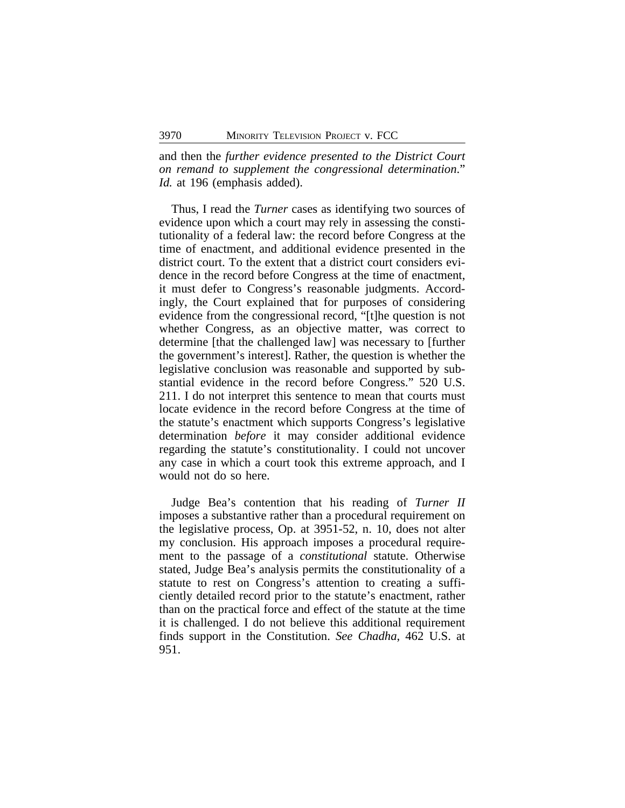and then the *further evidence presented to the District Court on remand to supplement the congressional determination*." *Id.* at 196 (emphasis added).

Thus, I read the *Turner* cases as identifying two sources of evidence upon which a court may rely in assessing the constitutionality of a federal law: the record before Congress at the time of enactment, and additional evidence presented in the district court. To the extent that a district court considers evidence in the record before Congress at the time of enactment, it must defer to Congress's reasonable judgments. Accordingly, the Court explained that for purposes of considering evidence from the congressional record, "[t]he question is not whether Congress, as an objective matter, was correct to determine [that the challenged law] was necessary to [further the government's interest]. Rather, the question is whether the legislative conclusion was reasonable and supported by substantial evidence in the record before Congress." 520 U.S. 211. I do not interpret this sentence to mean that courts must locate evidence in the record before Congress at the time of the statute's enactment which supports Congress's legislative determination *before* it may consider additional evidence regarding the statute's constitutionality. I could not uncover any case in which a court took this extreme approach, and I would not do so here.

Judge Bea's contention that his reading of *Turner II* imposes a substantive rather than a procedural requirement on the legislative process, Op. at 3951-52, n. 10, does not alter my conclusion. His approach imposes a procedural requirement to the passage of a *constitutional* statute. Otherwise stated, Judge Bea's analysis permits the constitutionality of a statute to rest on Congress's attention to creating a sufficiently detailed record prior to the statute's enactment, rather than on the practical force and effect of the statute at the time it is challenged. I do not believe this additional requirement finds support in the Constitution. *See Chadha*, 462 U.S. at 951.